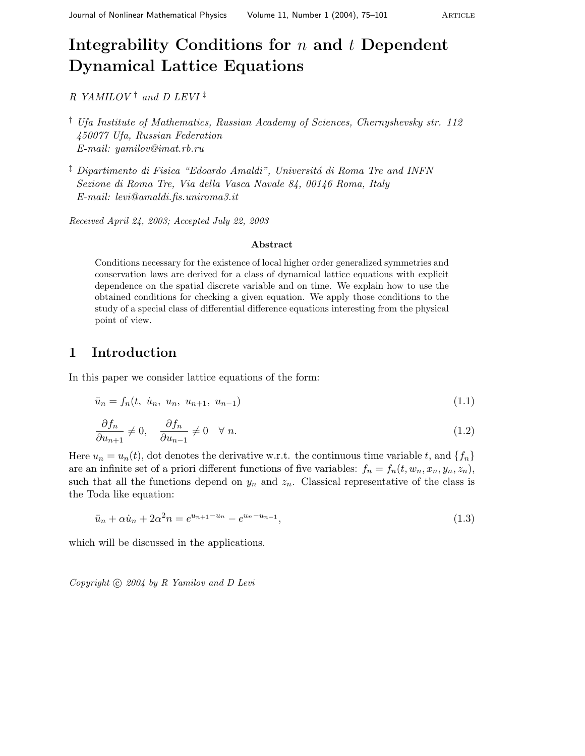# **Integrability Conditions for** n **and** t **Dependent Dynamical Lattice Equations**

R YAMILOV<sup>†</sup> and D LEVI<sup>‡</sup>

- † Ufa Institute of Mathematics, Russian Academy of Sciences, Chernyshevsky str.112 450077 Ufa, Russian Federation E-mail: yamilov@imat.rb.ru
- $\frac{1}{2}$  Dipartimento di Fisica "Edoardo Amaldi", Universitá di Roma Tre and INFN Sezione di Roma Tre, Via della Vasca Navale 84, 00146 Roma, Italy E-mail: levi@amaldi.fis.uniroma3.it

Received April 24, 2003; Accepted July 22, 2003

#### **Abstract**

Conditions necessary for the existence of local higher order generalized symmetries and conservation laws are derived for a class of dynamical lattice equations with explicit dependence on the spatial discrete variable and on time. We explain how to use the obtained conditions for checking a given equation. We apply those conditions to the study of a special class of differential difference equations interesting from the physical point of view.

## **1 Introduction**

In this paper we consider lattice equations of the form:

$$
\ddot{u}_n = f_n(t, \dot{u}_n, u_n, u_{n+1}, u_{n-1}) \tag{1.1}
$$

$$
\frac{\partial f_n}{\partial u_{n+1}} \neq 0, \quad \frac{\partial f_n}{\partial u_{n-1}} \neq 0 \quad \forall n. \tag{1.2}
$$

Here  $u_n = u_n(t)$ , dot denotes the derivative w.r.t. the continuous time variable t, and  $\{f_n\}$ are an infinite set of a priori different functions of five variables:  $f_n = f_n(t, w_n, x_n, y_n, z_n)$ , such that all the functions depend on  $y_n$  and  $z_n$ . Classical representative of the class is the Toda like equation:

$$
\ddot{u}_n + \alpha \dot{u}_n + 2\alpha^2 n = e^{u_{n+1} - u_n} - e^{u_n - u_{n-1}},
$$
\n(1.3)

which will be discussed in the applications.

Copyright  $\odot$  2004 by R Yamilov and D Levi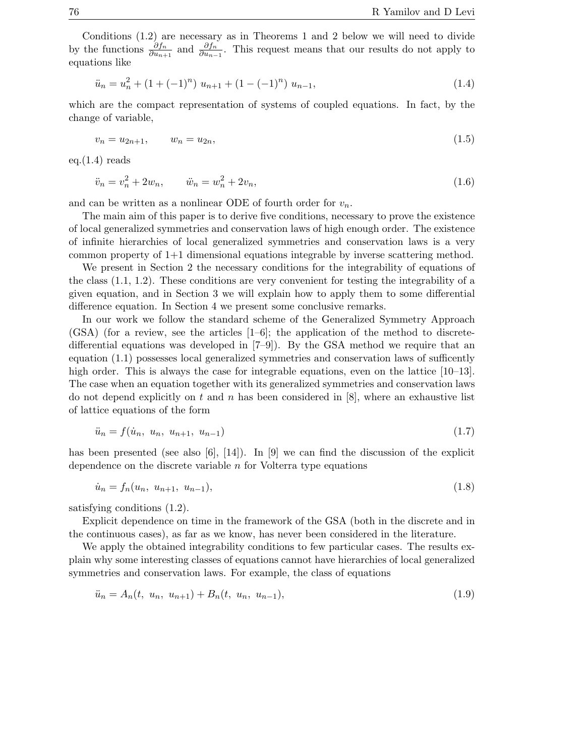Conditions (1.2) are necessary as in Theorems 1 and 2 below we will need to divide by the functions  $\frac{\partial f_n}{\partial u_{n+1}}$  and  $\frac{\partial f_n}{\partial u_{n-1}}$ . This request means that our results do not apply to equations like

$$
\ddot{u}_n = u_n^2 + (1 + (-1)^n) u_{n+1} + (1 - (-1)^n) u_{n-1}, \tag{1.4}
$$

which are the compact representation of systems of coupled equations. In fact, by the change of variable,

$$
v_n = u_{2n+1}, \qquad w_n = u_{2n}, \tag{1.5}
$$

eq.(1.4) reads

$$
\ddot{v}_n = v_n^2 + 2w_n, \qquad \ddot{w}_n = w_n^2 + 2v_n,
$$
\n(1.6)

and can be written as a nonlinear ODE of fourth order for  $v_n$ .

The main aim of this paper is to derive five conditions, necessary to prove the existence of local generalized symmetries and conservation laws of high enough order. The existence of infinite hierarchies of local generalized symmetries and conservation laws is a very common property of 1+1 dimensional equations integrable by inverse scattering method.

We present in Section 2 the necessary conditions for the integrability of equations of the class (1.1, 1.2). These conditions are very convenient for testing the integrability of a given equation, and in Section 3 we will explain how to apply them to some differential difference equation. In Section 4 we present some conclusive remarks.

In our work we follow the standard scheme of the Generalized Symmetry Approach  $(GSA)$  (for a review, see the articles  $[1-6]$ ; the application of the method to discretedifferential equations was developed in [7–9]). By the GSA method we require that an equation (1.1) possesses local generalized symmetries and conservation laws of sufficently high order. This is always the case for integrable equations, even on the lattice [10–13]. The case when an equation together with its generalized symmetries and conservation laws do not depend explicitly on t and n has been considered in  $[8]$ , where an exhaustive list of lattice equations of the form

$$
\ddot{u}_n = f(\dot{u}_n, u_n, u_{n+1}, u_{n-1}) \tag{1.7}
$$

has been presented (see also [6], [14]). In [9] we can find the discussion of the explicit dependence on the discrete variable n for Volterra type equations

$$
\dot{u}_n = f_n(u_n, u_{n+1}, u_{n-1}),\tag{1.8}
$$

satisfying conditions (1.2).

Explicit dependence on time in the framework of the GSA (both in the discrete and in the continuous cases), as far as we know, has never been considered in the literature.

We apply the obtained integrability conditions to few particular cases. The results explain why some interesting classes of equations cannot have hierarchies of local generalized symmetries and conservation laws. For example, the class of equations

$$
\ddot{u}_n = A_n(t, u_n, u_{n+1}) + B_n(t, u_n, u_{n-1}), \tag{1.9}
$$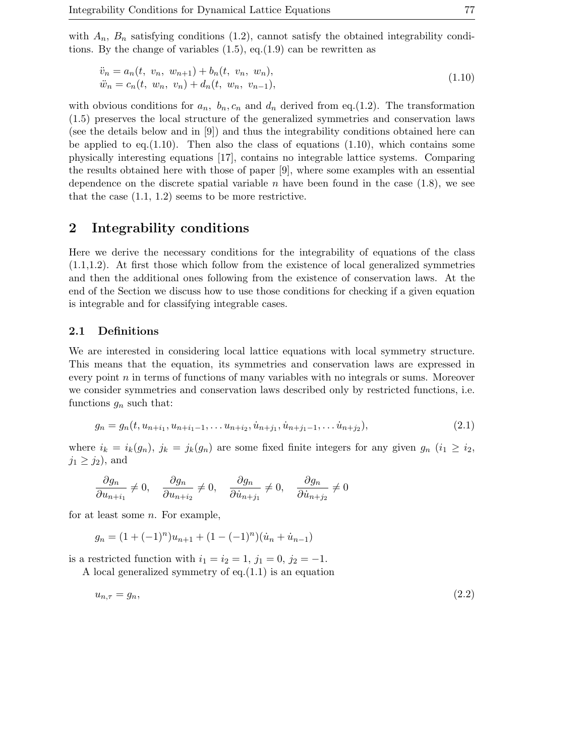with  $A_n$ ,  $B_n$  satisfying conditions (1.2), cannot satisfy the obtained integrability conditions. By the change of variables  $(1.5)$ , eq. $(1.9)$  can be rewritten as

$$
\ddot{v}_n = a_n(t, v_n, w_{n+1}) + b_n(t, v_n, w_n), \n\ddot{w}_n = c_n(t, w_n, v_n) + d_n(t, w_n, v_{n-1}),
$$
\n(1.10)

with obvious conditions for  $a_n$ ,  $b_n$ ,  $c_n$  and  $d_n$  derived from eq.(1.2). The transformation (1.5) preserves the local structure of the generalized symmetries and conservation laws (see the details below and in [9]) and thus the integrability conditions obtained here can be applied to eq.  $(1.10)$ . Then also the class of equations  $(1.10)$ , which contains some physically interesting equations [17], contains no integrable lattice systems. Comparing the results obtained here with those of paper [9], where some examples with an essential dependence on the discrete spatial variable  $n$  have been found in the case  $(1.8)$ , we see that the case (1.1, 1.2) seems to be more restrictive.

### **2 Integrability conditions**

Here we derive the necessary conditions for the integrability of equations of the class (1.1,1.2). At first those which follow from the existence of local generalized symmetries and then the additional ones following from the existence of conservation laws. At the end of the Section we discuss how to use those conditions for checking if a given equation is integrable and for classifying integrable cases.

#### **2.1 Definitions**

We are interested in considering local lattice equations with local symmetry structure. This means that the equation, its symmetries and conservation laws are expressed in every point  $n$  in terms of functions of many variables with no integrals or sums. Moreover we consider symmetries and conservation laws described only by restricted functions, i.e. functions  $g_n$  such that:

$$
g_n = g_n(t, u_{n+i_1}, u_{n+i_1-1}, \dots u_{n+i_2}, \dot{u}_{n+j_1}, \dot{u}_{n+j_1-1}, \dots \dot{u}_{n+j_2}),
$$
\n(2.1)

where  $i_k = i_k(g_n)$ ,  $j_k = j_k(g_n)$  are some fixed finite integers for any given  $g_n$   $(i_1 \geq i_2)$ ,  $j_1 \geq j_2$ , and

$$
\frac{\partial g_n}{\partial u_{n+i_1}} \neq 0, \quad \frac{\partial g_n}{\partial u_{n+i_2}} \neq 0, \quad \frac{\partial g_n}{\partial u_{n+i_1}} \neq 0, \quad \frac{\partial g_n}{\partial u_{n+i_2}} \neq 0
$$

for at least some  $n$ . For example,

$$
g_n = (1 + (-1)^n)u_{n+1} + (1 - (-1)^n)(\dot{u}_n + \dot{u}_{n-1})
$$

is a restricted function with  $i_1 = i_2 = 1$ ,  $j_1 = 0$ ,  $j_2 = -1$ .

A local generalized symmetry of eq.(1.1) is an equation

$$
u_{n,\tau} = g_n,\tag{2.2}
$$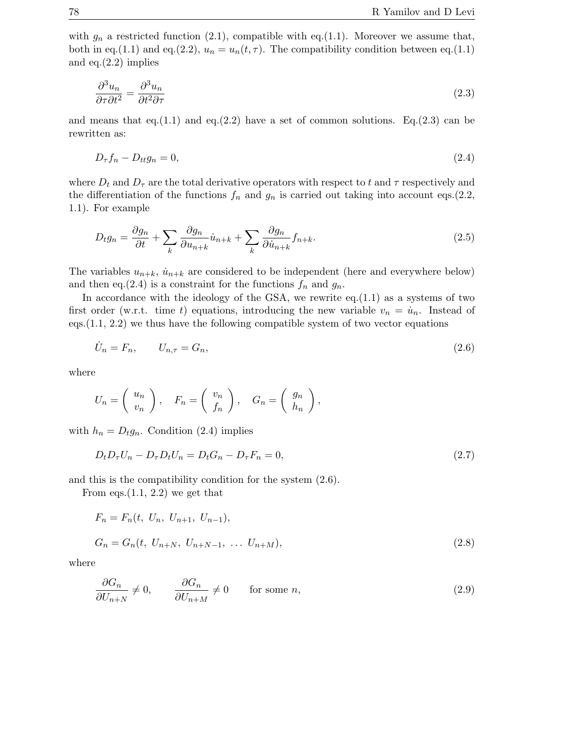with  $g_n$  a restricted function (2.1), compatible with eq.(1.1). Moreover we assume that, both in eq.(1.1) and eq.(2.2),  $u_n = u_n(t, \tau)$ . The compatibility condition between eq.(1.1) and eq.(2.2) implies

$$
\frac{\partial^3 u_n}{\partial \tau \partial t^2} = \frac{\partial^3 u_n}{\partial t^2 \partial \tau}
$$
\n(2.3)

and means that eq.(1.1) and eq.(2.2) have a set of common solutions. Eq.(2.3) can be rewritten as:

$$
D_{\tau}f_n - D_{tt}g_n = 0,\t\t(2.4)
$$

where  $D_t$  and  $D_{\tau}$  are the total derivative operators with respect to t and  $\tau$  respectively and the differentiation of the functions  $f_n$  and  $g_n$  is carried out taking into account eqs.(2.2, 1.1). For example

$$
D_t g_n = \frac{\partial g_n}{\partial t} + \sum_k \frac{\partial g_n}{\partial u_{n+k}} \dot{u}_{n+k} + \sum_k \frac{\partial g_n}{\partial \dot{u}_{n+k}} f_{n+k}.
$$
\n(2.5)

The variables  $u_{n+k}$ ,  $\dot{u}_{n+k}$  are considered to be independent (here and everywhere below) and then eq.(2.4) is a constraint for the functions  $f_n$  and  $g_n$ .

In accordance with the ideology of the GSA, we rewrite  $eq.(1.1)$  as a systems of two first order (w.r.t. time t) equations, introducing the new variable  $v_n = \dot{u}_n$ . Instead of eqs. $(1.1, 2.2)$  we thus have the following compatible system of two vector equations

$$
\dot{U}_n = F_n, \qquad U_{n,\tau} = G_n,\tag{2.6}
$$

where

$$
U_n = \left(\begin{array}{c} u_n \\ v_n \end{array}\right), \quad F_n = \left(\begin{array}{c} v_n \\ f_n \end{array}\right), \quad G_n = \left(\begin{array}{c} g_n \\ h_n \end{array}\right),
$$

with  $h_n = D_t g_n$ . Condition (2.4) implies

$$
D_t D_\tau U_n - D_\tau D_t U_n = D_t G_n - D_\tau F_n = 0,\t\t(2.7)
$$

and this is the compatibility condition for the system (2.6).

From eqs.  $(1.1, 2.2)$  we get that

$$
F_n = F_n(t, U_n, U_{n+1}, U_{n-1}),
$$
  
\n
$$
G_n = G_n(t, U_{n+N}, U_{n+N-1}, \dots U_{n+M}),
$$
\n(2.8)

where

$$
\frac{\partial G_n}{\partial U_{n+N}} \neq 0, \qquad \frac{\partial G_n}{\partial U_{n+M}} \neq 0 \qquad \text{for some } n,
$$
\n(2.9)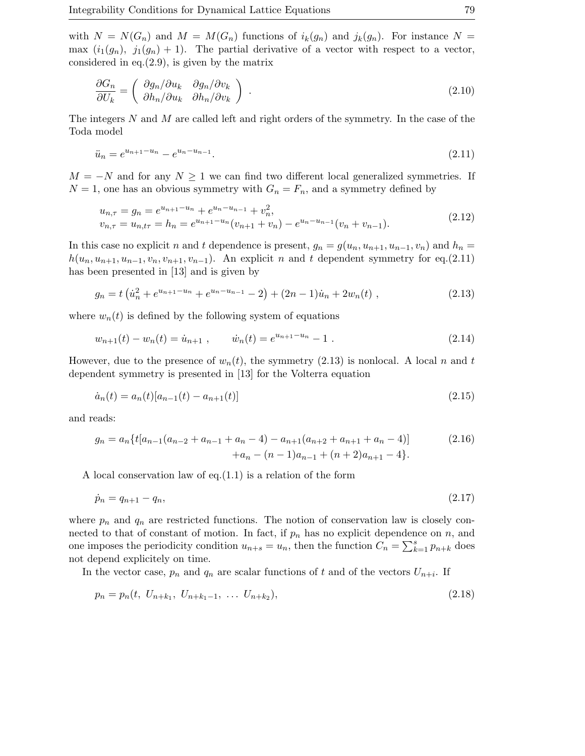with  $N = N(G_n)$  and  $M = M(G_n)$  functions of  $i_k(g_n)$  and  $j_k(g_n)$ . For instance  $N =$ max  $(i_1(g_n), j_1(g_n) + 1)$ . The partial derivative of a vector with respect to a vector, considered in eq. $(2.9)$ , is given by the matrix

$$
\frac{\partial G_n}{\partial U_k} = \begin{pmatrix} \frac{\partial g_n}{\partial u_k} & \frac{\partial g_n}{\partial v_k} \\ \frac{\partial h_n}{\partial u_k} & \frac{\partial h_n}{\partial v_k} \end{pmatrix} . \tag{2.10}
$$

The integers N and M are called left and right orders of the symmetry. In the case of the Toda model

$$
\ddot{u}_n = e^{u_{n+1} - u_n} - e^{u_n - u_{n-1}}.\tag{2.11}
$$

 $M = -N$  and for any  $N \geq 1$  we can find two different local generalized symmetries. If  $N = 1$ , one has an obvious symmetry with  $G_n = F_n$ , and a symmetry defined by

$$
u_{n,\tau} = g_n = e^{u_{n+1} - u_n} + e^{u_n - u_{n-1}} + v_n^2,
$$
  
\n
$$
v_{n,\tau} = u_{n,t\tau} = h_n = e^{u_{n+1} - u_n} (v_{n+1} + v_n) - e^{u_n - u_{n-1}} (v_n + v_{n-1}).
$$
\n(2.12)

In this case no explicit *n* and *t* dependence is present,  $g_n = g(u_n, u_{n+1}, u_{n-1}, v_n)$  and  $h_n =$  $h(u_n, u_{n+1}, u_{n-1}, v_n, v_{n+1}, v_{n-1})$ . An explicit n and t dependent symmetry for eq.(2.11) has been presented in [13] and is given by

$$
g_n = t\left(\dot{u}_n^2 + e^{u_{n+1} - u_n} + e^{u_n - u_{n-1}} - 2\right) + (2n - 1)\dot{u}_n + 2w_n(t) , \qquad (2.13)
$$

where  $w_n(t)$  is defined by the following system of equations

$$
w_{n+1}(t) - w_n(t) = \dot{u}_{n+1} , \qquad \dot{w}_n(t) = e^{u_{n+1} - u_n} - 1 . \qquad (2.14)
$$

However, due to the presence of  $w_n(t)$ , the symmetry (2.13) is nonlocal. A local n and t dependent symmetry is presented in [13] for the Volterra equation

$$
\dot{a}_n(t) = a_n(t)[a_{n-1}(t) - a_{n+1}(t)]\tag{2.15}
$$

and reads:

$$
g_n = a_n \{ t[a_{n-1}(a_{n-2} + a_{n-1} + a_n - 4) - a_{n+1}(a_{n+2} + a_{n+1} + a_n - 4)] + a_n - (n-1)a_{n-1} + (n+2)a_{n+1} - 4 \}.
$$
 (2.16)

A local conservation law of eq.(1.1) is a relation of the form

$$
\dot{p}_n = q_{n+1} - q_n,\tag{2.17}
$$

where  $p_n$  and  $q_n$  are restricted functions. The notion of conservation law is closely connected to that of constant of motion. In fact, if  $p_n$  has no explicit dependence on n, and one imposes the periodicity condition  $u_{n+s} = u_n$ , then the function  $C_n = \sum_{k=1}^s p_{n+k}$  does not depend explicitely on time.

In the vector case,  $p_n$  and  $q_n$  are scalar functions of t and of the vectors  $U_{n+i}$ . If

$$
p_n = p_n(t, U_{n+k_1}, U_{n+k_1-1}, \dots U_{n+k_2}), \tag{2.18}
$$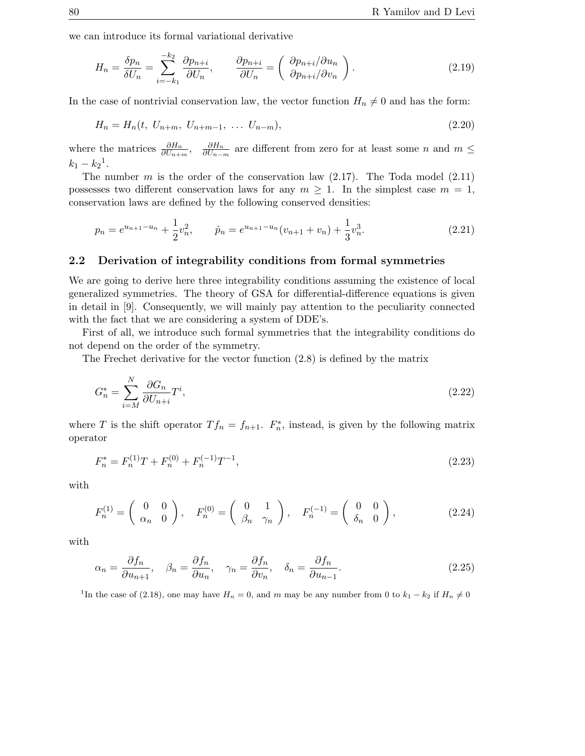we can introduce its formal variational derivative

$$
H_n = \frac{\delta p_n}{\delta U_n} = \sum_{i=-k_1}^{-k_2} \frac{\partial p_{n+i}}{\partial U_n}, \qquad \frac{\partial p_{n+i}}{\partial U_n} = \begin{pmatrix} \frac{\partial p_{n+i}}{\partial v_{n}} \\ \frac{\partial p_{n+i}}{\partial v_n} \end{pmatrix}.
$$
 (2.19)

In the case of nontrivial conservation law, the vector function  $H_n \neq 0$  and has the form:

$$
H_n = H_n(t, U_{n+m}, U_{n+m-1}, \dots U_{n-m}),
$$
\n(2.20)

where the matrices  $\frac{\partial H_n}{\partial U_{n+m}}, \frac{\partial H_n}{\partial U_{n-m}}$  are different from zero for at least some n and  $m \leq$  $k_1 - k_2$ <sup>1</sup>.

The number m is the order of the conservation law  $(2.17)$ . The Toda model  $(2.11)$ possesses two different conservation laws for any  $m \geq 1$ . In the simplest case  $m = 1$ , conservation laws are defined by the following conserved densities:

$$
p_n = e^{u_{n+1} - u_n} + \frac{1}{2}v_n^2, \qquad \hat{p}_n = e^{u_{n+1} - u_n}(v_{n+1} + v_n) + \frac{1}{3}v_n^3.
$$
 (2.21)

#### **2.2 Derivation of integrability conditions from formal symmetries**

We are going to derive here three integrability conditions assuming the existence of local generalized symmetries. The theory of GSA for differential-difference equations is given in detail in [9]. Consequently, we will mainly pay attention to the peculiarity connected with the fact that we are considering a system of DDE's.

First of all, we introduce such formal symmetries that the integrability conditions do not depend on the order of the symmetry.

The Frechet derivative for the vector function (2.8) is defined by the matrix

$$
G_n^* = \sum_{i=M}^N \frac{\partial G_n}{\partial U_{n+i}} T^i,\tag{2.22}
$$

where T is the shift operator  $T f_n = f_{n+1}$ .  $F_n^*$ , instead, is given by the following matrix operator

$$
F_n^* = F_n^{(1)}T + F_n^{(0)} + F_n^{(-1)}T^{-1},\tag{2.23}
$$

with

$$
F_n^{(1)} = \begin{pmatrix} 0 & 0 \\ \alpha_n & 0 \end{pmatrix}, \quad F_n^{(0)} = \begin{pmatrix} 0 & 1 \\ \beta_n & \gamma_n \end{pmatrix}, \quad F_n^{(-1)} = \begin{pmatrix} 0 & 0 \\ \delta_n & 0 \end{pmatrix}, \tag{2.24}
$$

with

$$
\alpha_n = \frac{\partial f_n}{\partial u_{n+1}}, \quad \beta_n = \frac{\partial f_n}{\partial u_n}, \quad \gamma_n = \frac{\partial f_n}{\partial v_n}, \quad \delta_n = \frac{\partial f_n}{\partial u_{n-1}}.
$$
\n(2.25)

<sup>1</sup>In the case of (2.18), one may have  $H_n = 0$ , and m may be any number from 0 to  $k_1 - k_2$  if  $H_n \neq 0$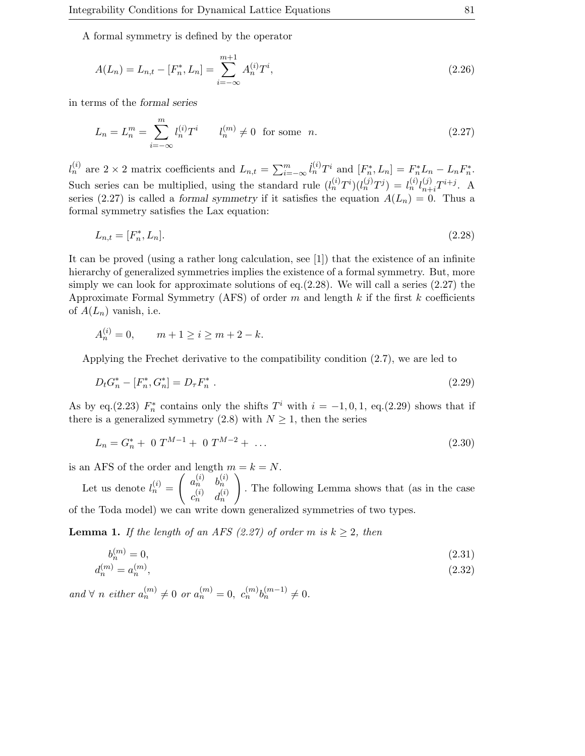A formal symmetry is defined by the operator

$$
A(L_n) = L_{n,t} - [F_n^*, L_n] = \sum_{i=-\infty}^{m+1} A_n^{(i)} T^i,
$$
\n(2.26)

in terms of the *formal series*

$$
L_n = L_n^m = \sum_{i = -\infty}^m l_n^{(i)} T^i \qquad l_n^{(m)} \neq 0 \text{ for some } n. \tag{2.27}
$$

 $l_n^{(i)}$  are  $2 \times 2$  matrix coefficients and  $L_{n,t} = \sum_{i=-\infty}^{m} l_n^{(i)} T^i$  and  $[F_n^*, L_n] = F_n^* L_n - L_n F_n^*$ . Such series can be multiplied, using the standard rule  $(l_n^{(i)}T^i)(l_n^{(j)}T^j) = l_n^{(i)}l_{n+i}^{(j)}T^{i+j}$ . A series (2.27) is called a *formal symmetry* if it satisfies the equation  $A(L_n) = 0$ . Thus a formal symmetry satisfies the Lax equation:

$$
L_{n,t} = [F_n^*, L_n].
$$
\n(2.28)

It can be proved (using a rather long calculation, see [1]) that the existence of an infinite hierarchy of generalized symmetries implies the existence of a formal symmetry. But, more simply we can look for approximate solutions of eq.  $(2.28)$ . We will call a series  $(2.27)$  the Approximate Formal Symmetry (AFS) of order  $m$  and length  $k$  if the first  $k$  coefficients of  $A(L_n)$  vanish, i.e.

$$
A_n^{(i)} = 0, \qquad m + 1 \ge i \ge m + 2 - k.
$$

Applying the Frechet derivative to the compatibility condition (2.7), we are led to

$$
D_t G_n^* - [F_n^*, G_n^*] = D_\tau F_n^* \tag{2.29}
$$

As by eq.(2.23)  $F_n^*$  contains only the shifts  $T^i$  with  $i = -1, 0, 1$ , eq.(2.29) shows that if there is a generalized symmetry (2.8) with  $N \geq 1$ , then the series

$$
L_n = G_n^* + 0 \ T^{M-1} + 0 \ T^{M-2} + \dots \tag{2.30}
$$

is an AFS of the order and length  $m = k = N$ .

Let us denote  $l_n^{(i)} =$  $\begin{pmatrix} a_n^{(i)} & b_n^{(i)} \end{pmatrix}$  $c_n^{(i)}$   $d_n^{(i)}$  $\setminus$ . The following Lemma shows that (as in the case of the Toda model) we can write down generalized symmetries of two types.

**Lemma 1.** If the length of an AFS (2.27) of order m is  $k \geq 2$ , then

$$
b_n^{(m)} = 0,\t\t(2.31)
$$

$$
d_n^{(m)} = a_n^{(m)},\tag{2.32}
$$

and  $\forall n \text{ either } a_n^{(m)} \neq 0 \text{ or } a_n^{(m)} = 0, c_n^{(m)}b_n^{(m-1)} \neq 0.$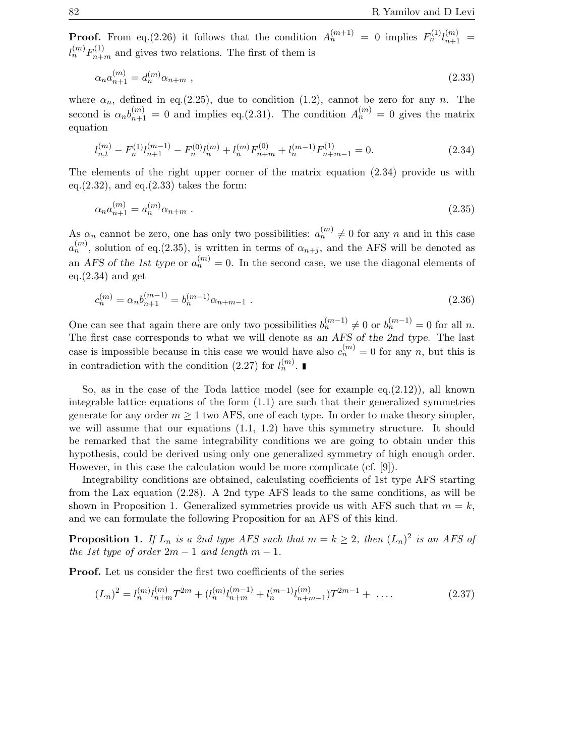**Proof.** From eq.(2.26) it follows that the condition  $A_n^{(m+1)} = 0$  implies  $F_n^{(1)} l_{n+1}^{(m)} = l_{n+1}^{(m)} l_{n+1}^{(m)}$  $l_n^{(m)}F_{n+m}^{(1)}$  and gives two relations. The first of them is

$$
\alpha_n a_{n+1}^{(m)} = d_n^{(m)} \alpha_{n+m} \tag{2.33}
$$

where  $\alpha_n$ , defined in eq.(2.25), due to condition (1.2), cannot be zero for any n. The second is  $\alpha_n b_{n+1}^{(m)} = 0$  and implies eq.(2.31). The condition  $A_n^{(m)} = 0$  gives the matrix equation

$$
l_{n,t}^{(m)} - F_n^{(1)} l_{n+1}^{(m-1)} - F_n^{(0)} l_n^{(m)} + l_n^{(m)} F_{n+m}^{(0)} + l_n^{(m-1)} F_{n+m-1}^{(1)} = 0.
$$
 (2.34)

The elements of the right upper corner of the matrix equation (2.34) provide us with eq. $(2.32)$ , and eq. $(2.33)$  takes the form:

$$
\alpha_n a_{n+1}^{(m)} = a_n^{(m)} \alpha_{n+m} \tag{2.35}
$$

As  $\alpha_n$  cannot be zero, one has only two possibilities:  $a_n^{(m)} \neq 0$  for any n and in this case  $a_n^{(m)}$ , solution of eq.(2.35), is written in terms of  $\alpha_{n+j}$ , and the AFS will be denoted as an *AFS* of the 1st type or  $a_n^{(m)} = 0$ . In the second case, we use the diagonal elements of eq. $(2.34)$  and get

$$
c_n^{(m)} = \alpha_n b_{n+1}^{(m-1)} = b_n^{(m-1)} \alpha_{n+m-1} . \tag{2.36}
$$

One can see that again there are only two possibilities  $b_n^{(m-1)} \neq 0$  or  $b_n^{(m-1)} = 0$  for all n. The first case corresponds to what we will denote as *an AFS of the 2nd type*. The last case is impossible because in this case we would have also  $c_n^{(m)} = 0$  for any n, but this is in contradiction with the condition (2.27) for  $l_n^{(m)}$ .

So, as in the case of the Toda lattice model (see for example  $eq.(2.12)$ ), all known integrable lattice equations of the form (1.1) are such that their generalized symmetries generate for any order  $m \geq 1$  two AFS, one of each type. In order to make theory simpler, we will assume that our equations (1.1, 1.2) have this symmetry structure. It should be remarked that the same integrability conditions we are going to obtain under this hypothesis, could be derived using only one generalized symmetry of high enough order. However, in this case the calculation would be more complicate (cf. [9]).

Integrability conditions are obtained, calculating coefficients of 1st type AFS starting from the Lax equation (2.28). A 2nd type AFS leads to the same conditions, as will be shown in Proposition 1. Generalized symmetries provide us with AFS such that  $m = k$ , and we can formulate the following Proposition for an AFS of this kind.

**Proposition 1.** If  $L_n$  is a 2nd type AFS such that  $m = k \geq 2$ , then  $(L_n)^2$  is an AFS of the 1st type of order  $2m - 1$  and length  $m - 1$ .

**Proof.** Let us consider the first two coefficients of the series

$$
(L_n)^2 = l_n^{(m)} l_{n+m}^{(m)} T^{2m} + (l_n^{(m)} l_{n+m}^{(m-1)} + l_n^{(m-1)} l_{n+m-1}^{(m)}) T^{2m-1} + \dots
$$
\n(2.37)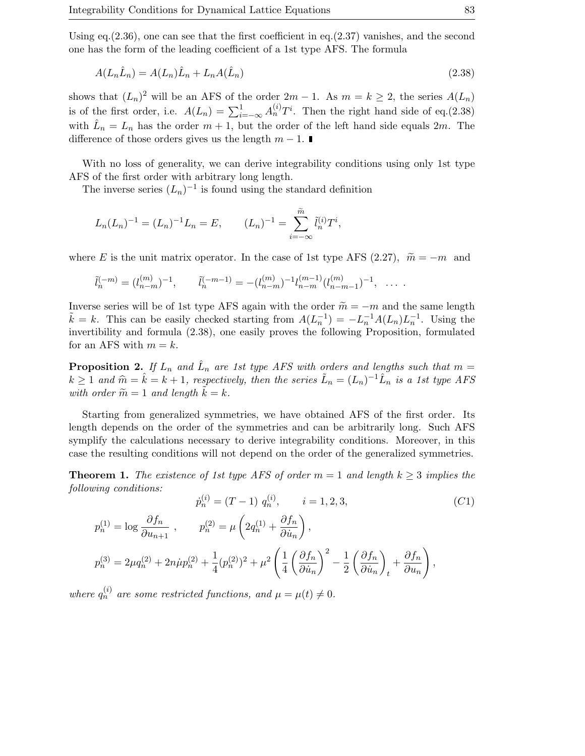Using eq.  $(2.36)$ , one can see that the first coefficient in eq.  $(2.37)$  vanishes, and the second one has the form of the leading coefficient of a 1st type AFS. The formula

$$
A(L_n\hat{L}_n) = A(L_n)\hat{L}_n + L_nA(\hat{L}_n)
$$
\n
$$
(2.38)
$$

shows that  $(L_n)^2$  will be an AFS of the order  $2m - 1$ . As  $m = k \geq 2$ , the series  $A(L_n)$ is of the first order, i.e.  $A(L_n) = \sum_{i=-\infty}^{1} A_n^{(i)} T^i$ . Then the right hand side of eq.(2.38) with  $\hat{L}_n = L_n$  has the order  $m + 1$ , but the order of the left hand side equals  $2m$ . The difference of those orders gives us the length  $m - 1$ .

With no loss of generality, we can derive integrability conditions using only 1st type AFS of the first order with arbitrary long length.

The inverse series  $(L_n)^{-1}$  is found using the standard definition

$$
L_n(L_n)^{-1} = (L_n)^{-1}L_n = E, \qquad (L_n)^{-1} = \sum_{i=-\infty}^{\widetilde{m}} \widetilde{l}_n^{(i)} T^i,
$$

where E is the unit matrix operator. In the case of 1st type AFS (2.27),  $\tilde{m} = -m$  and

$$
\tilde{l}_n^{(-m)} = (l_{n-m}^{(m)})^{-1}, \qquad \tilde{l}_n^{(-m-1)} = -(l_{n-m}^{(m)})^{-1} l_{n-m}^{(m-1)} (l_{n-m-1}^{(m)})^{-1}, \ \ldots \ .
$$

Inverse series will be of 1st type AFS again with the order  $\tilde{m} = -m$  and the same length  $\tilde{k} = k$ . This can be easily checked starting from  $A(L_n^{-1}) = -L_n^{-1}A(L_n)L_n^{-1}$ . Using the invertibility and formula (2.38), one easily proves the following Proposition, formulated for an AFS with  $m = k$ .

**Proposition 2.** If  $L_n$  and  $\hat{L}_n$  are 1st type AFS with orders and lengths such that  $m =$  $k \geq 1$  and  $\widehat{m} = \widehat{k} = k + 1$ , respectively, then the series  $\widetilde{L}_n = (L_n)^{-1} \widehat{L}_n$  is a 1st type AFS with order  $\widetilde{m} = 1$  and length  $\widetilde{k} = k$ .

Starting from generalized symmetries, we have obtained AFS of the first order. Its length depends on the order of the symmetries and can be arbitrarily long. Such AFS symplify the calculations necessary to derive integrability conditions. Moreover, in this case the resulting conditions will not depend on the order of the generalized symmetries.

**Theorem 1.** The existence of 1st type AFS of order  $m = 1$  and length  $k \geq 3$  implies the following conditions:

$$
\dot{p}_n^{(i)} = (T - 1) q_n^{(i)}, \qquad i = 1, 2, 3,
$$
\n<sup>(C1)</sup>

$$
p_n^{(1)} = \log \frac{\partial f_n}{\partial u_{n+1}}, \qquad p_n^{(2)} = \mu \left( 2q_n^{(1)} + \frac{\partial f_n}{\partial u_n} \right),
$$
  

$$
p_n^{(3)} = 2\mu q_n^{(2)} + 2n\mu p_n^{(2)} + \frac{1}{4} (p_n^{(2)})^2 + \mu^2 \left( \frac{1}{4} \left( \frac{\partial f_n}{\partial u_n} \right)^2 - \frac{1}{2} \left( \frac{\partial f_n}{\partial u_n} \right)_t + \frac{\partial f_n}{\partial u_n} \right),
$$

where  $q_n^{(i)}$  are some restricted functions, and  $\mu = \mu(t) \neq 0$ .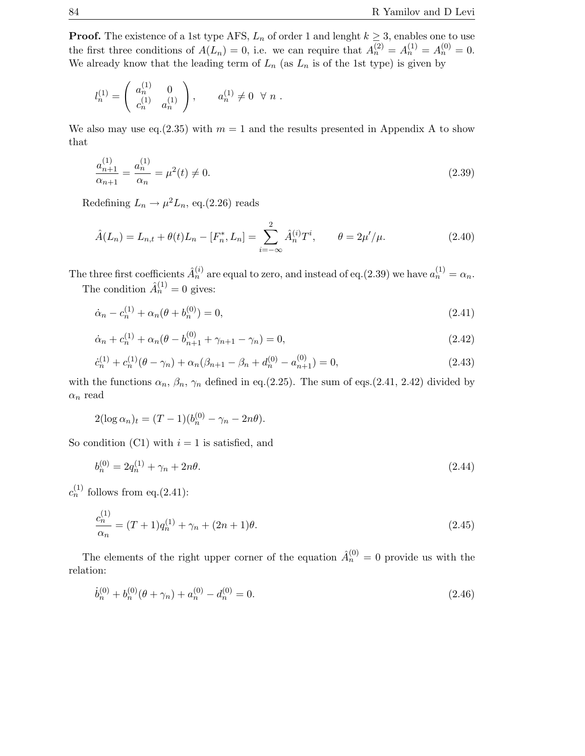**Proof.** The existence of a 1st type AFS,  $L_n$  of order 1 and lenght  $k \geq 3$ , enables one to use the first three conditions of  $A(L_n) = 0$ , i.e. we can require that  $A_n^{(2)} = A_n^{(1)} = A_n^{(0)} = 0$ . We already know that the leading term of  $L_n$  (as  $L_n$  is of the 1st type) is given by

$$
l_n^{(1)} = \begin{pmatrix} a_n^{(1)} & 0 \\ c_n^{(1)} & a_n^{(1)} \end{pmatrix}, \qquad a_n^{(1)} \neq 0 \ \forall \ n .
$$

We also may use eq. (2.35) with  $m = 1$  and the results presented in Appendix A to show that

$$
\frac{a_{n+1}^{(1)}}{\alpha_{n+1}} = \frac{a_n^{(1)}}{\alpha_n} = \mu^2(t) \neq 0.
$$
\n(2.39)

Redefining  $L_n \to \mu^2 L_n$ , eq.(2.26) reads

$$
\hat{A}(L_n) = L_{n,t} + \theta(t)L_n - [F_n^*, L_n] = \sum_{i=-\infty}^2 \hat{A}_n^{(i)} T^i, \qquad \theta = 2\mu'/\mu.
$$
\n(2.40)

The three first coefficients  $\hat{A}_n^{(i)}$  are equal to zero, and instead of eq.(2.39) we have  $a_n^{(1)} = \alpha_n$ .

The condition  $\hat{A}_n^{(1)} = 0$  gives:

$$
\dot{\alpha}_n - c_n^{(1)} + \alpha_n(\theta + b_n^{(0)}) = 0,\t\t(2.41)
$$

$$
\dot{\alpha}_n + c_n^{(1)} + \alpha_n(\theta - b_{n+1}^{(0)} + \gamma_{n+1} - \gamma_n) = 0,
$$
\n(2.42)

$$
\dot{c}_n^{(1)} + c_n^{(1)}(\theta - \gamma_n) + \alpha_n(\beta_{n+1} - \beta_n + d_n^{(0)} - a_{n+1}^{(0)}) = 0,\tag{2.43}
$$

with the functions  $\alpha_n$ ,  $\beta_n$ ,  $\gamma_n$  defined in eq.(2.25). The sum of eqs.(2.41, 2.42) divided by  $\alpha_n$  read

$$
2(\log \alpha_n)_t = (T-1)(b_n^{(0)} - \gamma_n - 2n\theta).
$$

So condition (C1) with  $i = 1$  is satisfied, and

$$
b_n^{(0)} = 2q_n^{(1)} + \gamma_n + 2n\theta. \tag{2.44}
$$

 $c_n^{(1)}$  follows from eq.(2.41):

$$
\frac{c_n^{(1)}}{\alpha_n} = (T+1)q_n^{(1)} + \gamma_n + (2n+1)\theta.
$$
\n(2.45)

The elements of the right upper corner of the equation  $\hat{A}_n^{(0)} = 0$  provide us with the relation:

$$
\dot{b}_n^{(0)} + b_n^{(0)}(\theta + \gamma_n) + a_n^{(0)} - d_n^{(0)} = 0.
$$
\n(2.46)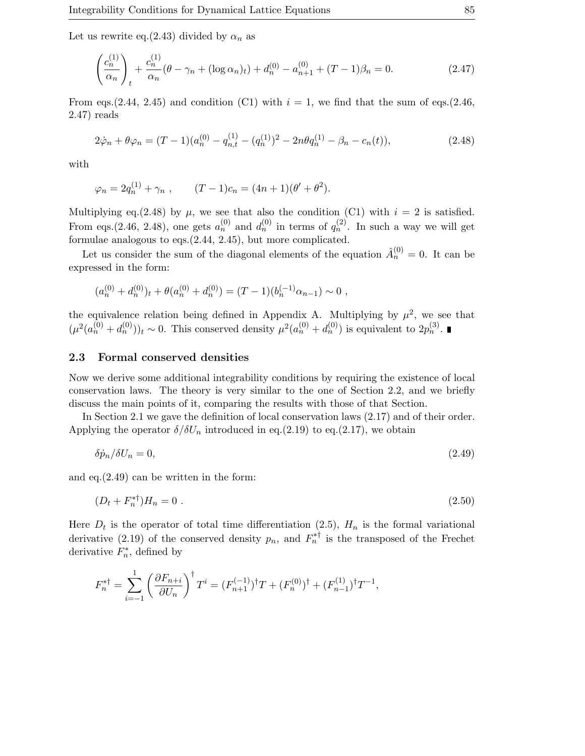Let us rewrite eq.(2.43) divided by  $\alpha_n$  as

$$
\left(\frac{c_n^{(1)}}{\alpha_n}\right)_t + \frac{c_n^{(1)}}{\alpha_n}(\theta - \gamma_n + (\log \alpha_n)_t) + d_n^{(0)} - a_{n+1}^{(0)} + (T - 1)\beta_n = 0.
$$
\n(2.47)

From eqs.(2.44, 2.45) and condition (C1) with  $i = 1$ , we find that the sum of eqs.(2.46, 2.47) reads

$$
2\dot{\varphi}_n + \theta \varphi_n = (T - 1)(a_n^{(0)} - q_{n,t}^{(1)} - (q_n^{(1)})^2 - 2n\theta q_n^{(1)} - \beta_n - c_n(t)),
$$
\n(2.48)

with

$$
\varphi_n = 2q_n^{(1)} + \gamma_n , \qquad (T-1)c_n = (4n+1)(\theta' + \theta^2).
$$

Multiplying eq.(2.48) by  $\mu$ , we see that also the condition (C1) with  $i = 2$  is satisfied. From eqs.(2.46, 2.48), one gets  $a_n^{(0)}$  and  $d_n^{(0)}$  in terms of  $q_n^{(2)}$ . In such a way we will get formulae analogous to eqs.(2.44, 2.45), but more complicated.

Let us consider the sum of the diagonal elements of the equation  $\hat{A}_n^{(0)} = 0$ . It can be expressed in the form:

$$
(a_n^{(0)} + d_n^{(0)})_t + \theta(a_n^{(0)} + d_n^{(0)}) = (T - 1)(b_n^{(-1)}\alpha_{n-1}) \sim 0,
$$

the equivalence relation being defined in Appendix A. Multiplying by  $\mu^2$ , we see that  $(\mu^2(a_n^{(0)}+d_n^{(0)}))_t \sim 0$ . This conserved density  $\mu^2(a_n^{(0)}+d_n^{(0)})$  is equivalent to  $2p_n^{(3)}$ .

#### **2.3 Formal conserved densities**

Now we derive some additional integrability conditions by requiring the existence of local conservation laws. The theory is very similar to the one of Section 2.2, and we briefly discuss the main points of it, comparing the results with those of that Section.

In Section 2.1 we gave the definition of local conservation laws (2.17) and of their order. Applying the operator  $\delta/\delta U_n$  introduced in eq.(2.19) to eq.(2.17), we obtain

$$
\delta \dot{p}_n / \delta U_n = 0,\tag{2.49}
$$

and eq.(2.49) can be written in the form:

$$
(D_t + F_n^{*\dagger})H_n = 0 \tag{2.50}
$$

Here  $D_t$  is the operator of total time differentiation (2.5),  $H_n$  is the formal variational derivative (2.19) of the conserved density  $p_n$ , and  $F_n^*$  is the transposed of the Frechet derivative  $F_n^*$ , defined by

$$
F_n^{* \dagger} = \sum_{i=-1}^1 \left( \frac{\partial F_{n+i}}{\partial U_n} \right)^{\dagger} T^i = (F_{n+1}^{(-1)})^{\dagger} T + (F_n^{(0)})^{\dagger} + (F_{n-1}^{(1)})^{\dagger} T^{-1},
$$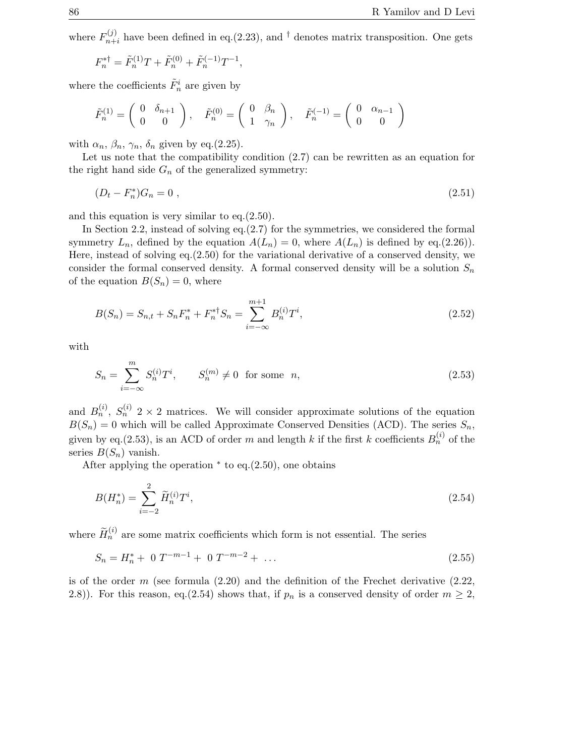where  $F_{n+i}^{(j)}$  have been defined in eq.(2.23), and <sup>†</sup> denotes matrix transposition. One gets

$$
F_n^{* \dagger} = \tilde{F}_n^{(1)} T + \tilde{F}_n^{(0)} + \tilde{F}_n^{(-1)} T^{-1},
$$

where the coefficients  $\tilde{F}^i_n$  are given by

$$
\tilde{F}_n^{(1)}=\left(\begin{array}{cc} 0 & \delta_{n+1} \\ 0 & 0 \end{array}\right),\quad \tilde{F}_n^{(0)}=\left(\begin{array}{cc} 0 & \beta_n \\ 1 & \gamma_n \end{array}\right),\quad \tilde{F}_n^{(-1)}=\left(\begin{array}{cc} 0 & \alpha_{n-1} \\ 0 & 0 \end{array}\right)
$$

with  $\alpha_n$ ,  $\beta_n$ ,  $\gamma_n$ ,  $\delta_n$  given by eq.(2.25).

Let us note that the compatibility condition (2.7) can be rewritten as an equation for the right hand side  $G_n$  of the generalized symmetry:

$$
(D_t - F_n^*)G_n = 0 \t\t(2.51)
$$

and this equation is very similar to eq.(2.50).

In Section 2.2, instead of solving eq.(2.7) for the symmetries, we considered the formal symmetry  $L_n$ , defined by the equation  $A(L_n) = 0$ , where  $A(L_n)$  is defined by eq.(2.26)). Here, instead of solving eq.(2.50) for the variational derivative of a conserved density, we consider the formal conserved density. A formal conserved density will be a solution  $S_n$ of the equation  $B(S_n) = 0$ , where

$$
B(S_n) = S_{n,t} + S_n F_n^* + F_n^{* \dagger} S_n = \sum_{i=-\infty}^{m+1} B_n^{(i)} T^i,
$$
\n(2.52)

with

$$
S_n = \sum_{i=-\infty}^{m} S_n^{(i)} T^i, \qquad S_n^{(m)} \neq 0 \text{ for some } n,
$$
\n(2.53)

and  $B_n^{(i)}$ ,  $S_n^{(i)}$  2 × 2 matrices. We will consider approximate solutions of the equation  $B(S_n) = 0$  which will be called Approximate Conserved Densities (ACD). The series  $S_n$ , given by eq.(2.53), is an ACD of order m and length k if the first k coefficients  $B_n^{(i)}$  of the series  $B(S_n)$  vanish.

After applying the operation  $*$  to eq. $(2.50)$ , one obtains

$$
B(H_n^*) = \sum_{i=-2}^{2} \widetilde{H}_n^{(i)} T^i,
$$
\n(2.54)

where  $\widetilde{H}_n^{(i)}$  are some matrix coefficients which form is not essential. The series

$$
S_n = H_n^* + 0 \ T^{-m-1} + 0 \ T^{-m-2} + \dots \tag{2.55}
$$

is of the order  $m$  (see formula  $(2.20)$  and the definition of the Frechet derivative  $(2.22)$ , 2.8)). For this reason, eq.(2.54) shows that, if  $p_n$  is a conserved density of order  $m \geq 2$ ,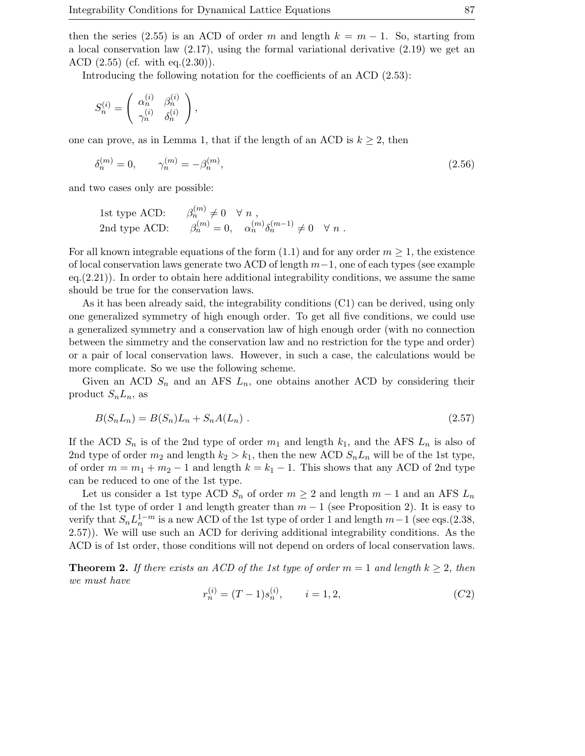then the series (2.55) is an ACD of order m and length  $k = m - 1$ . So, starting from a local conservation law  $(2.17)$ , using the formal variational derivative  $(2.19)$  we get an ACD  $(2.55)$  (cf. with eq. $(2.30)$ ).

Introducing the following notation for the coefficients of an ACD (2.53):

$$
S_n^{(i)} = \begin{pmatrix} \alpha_n^{(i)} & \beta_n^{(i)} \\ \gamma_n^{(i)} & \delta_n^{(i)} \end{pmatrix},
$$

one can prove, as in Lemma 1, that if the length of an ACD is  $k \geq 2$ , then

$$
\delta_n^{(m)} = 0, \qquad \gamma_n^{(m)} = -\beta_n^{(m)}, \tag{2.56}
$$

and two cases only are possible:

1st type ACD: 
$$
\beta_n^{(m)} \neq 0 \quad \forall n
$$
,  
2nd type ACD:  $\beta_n^{(m)} = 0$ ,  $\alpha_n^{(m)} \delta_n^{(m-1)} \neq 0 \quad \forall n$ .

For all known integrable equations of the form  $(1.1)$  and for any order  $m \geq 1$ , the existence of local conservation laws generate two ACD of length m−1, one of each types (see example  $eq.(2.21)$ ). In order to obtain here additional integrability conditions, we assume the same should be true for the conservation laws.

As it has been already said, the integrability conditions (C1) can be derived, using only one generalized symmetry of high enough order. To get all five conditions, we could use a generalized symmetry and a conservation law of high enough order (with no connection between the simmetry and the conservation law and no restriction for the type and order) or a pair of local conservation laws. However, in such a case, the calculations would be more complicate. So we use the following scheme.

Given an ACD  $S_n$  and an AFS  $L_n$ , one obtains another ACD by considering their product  $S_nL_n$ , as

$$
B(S_n L_n) = B(S_n) L_n + S_n A(L_n) .
$$
\n(2.57)

If the ACD  $S_n$  is of the 2nd type of order  $m_1$  and length  $k_1$ , and the AFS  $L_n$  is also of 2nd type of order  $m_2$  and length  $k_2 > k_1$ , then the new ACD  $S_nL_n$  will be of the 1st type, of order  $m = m_1 + m_2 - 1$  and length  $k = k_1 - 1$ . This shows that any ACD of 2nd type can be reduced to one of the 1st type.

Let us consider a 1st type ACD  $S_n$  of order  $m \geq 2$  and length  $m-1$  and an AFS  $L_n$ of the 1st type of order 1 and length greater than  $m-1$  (see Proposition 2). It is easy to verify that  $S_n L_n^{1-m}$  is a new ACD of the 1st type of order 1 and length  $m-1$  (see eqs.(2.38, 2.57)). We will use such an ACD for deriving additional integrability conditions. As the ACD is of 1st order, those conditions will not depend on orders of local conservation laws.

**Theorem 2.** If there exists an ACD of the 1st type of order  $m = 1$  and length  $k \geq 2$ , then we must have

$$
r_n^{(i)} = (T - 1)s_n^{(i)}, \qquad i = 1, 2,
$$
\n<sup>(C2)</sup>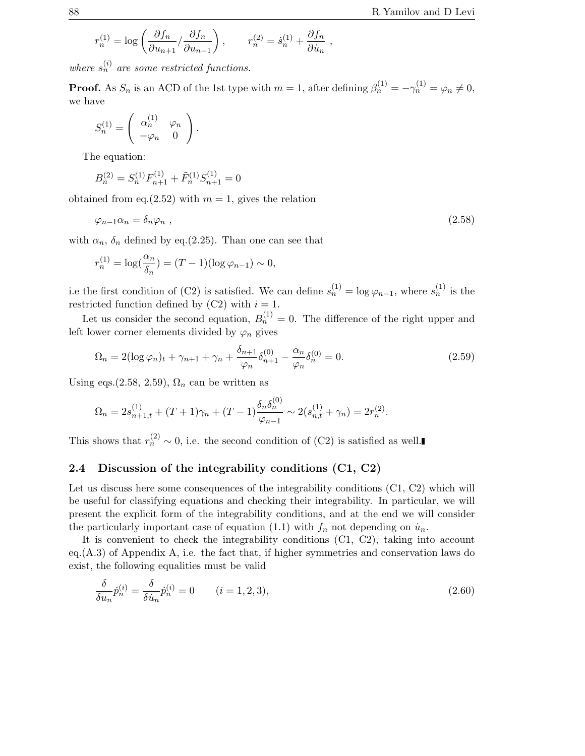$$
r_n^{(1)} = \log\left(\frac{\partial f_n}{\partial u_{n+1}}/\frac{\partial f_n}{\partial u_{n-1}}\right), \qquad r_n^{(2)} = \dot{s}_n^{(1)} + \frac{\partial f_n}{\partial \dot{u}_n} ,
$$

where  $s_n^{(i)}$  are some restricted functions.

**Proof.** As  $S_n$  is an ACD of the 1st type with  $m = 1$ , after defining  $\beta_n^{(1)} = -\gamma_n^{(1)} = \varphi_n \neq 0$ , we have

$$
S_n^{(1)} = \left( \begin{array}{cc} \alpha_n^{(1)} & \varphi_n \\ -\varphi_n & 0 \end{array} \right).
$$

The equation:

$$
B_n^{(2)} = S_n^{(1)} F_{n+1}^{(1)} + \tilde{F}_n^{(1)} S_{n+1}^{(1)} = 0
$$

obtained from eq.(2.52) with  $m = 1$ , gives the relation

$$
\varphi_{n-1}\alpha_n = \delta_n \varphi_n \;, \tag{2.58}
$$

with  $\alpha_n$ ,  $\delta_n$  defined by eq.(2.25). Than one can see that

$$
r_n^{(1)} = \log\left(\frac{\alpha_n}{\delta_n}\right) = (T - 1)(\log \varphi_{n-1}) \sim 0,
$$

i.e the first condition of (C2) is satisfied. We can define  $s_n^{(1)} = \log \varphi_{n-1}$ , where  $s_n^{(1)}$  is the next istad function defined by (C3) with  $i = 1$ restricted function defined by  $(C2)$  with  $i = 1$ .

Let us consider the second equation,  $B_n^{(1)} = 0$ . The difference of the right upper and left lower corner elements divided by  $\varphi_n$  gives

$$
\Omega_n = 2(\log \varphi_n)_t + \gamma_{n+1} + \gamma_n + \frac{\delta_{n+1}}{\varphi_n} \delta_{n+1}^{(0)} - \frac{\alpha_n}{\varphi_n} \delta_n^{(0)} = 0.
$$
\n(2.59)

Using eqs.(2.58, 2.59),  $\Omega_n$  can be written as

$$
\Omega_n = 2s_{n+1,t}^{(1)} + (T+1)\gamma_n + (T-1)\frac{\delta_n \delta_n^{(0)}}{\varphi_{n-1}} \sim 2(s_{n,t}^{(1)} + \gamma_n) = 2r_n^{(2)}.
$$

This shows that  $r_n^{(2)} \sim 0$ , i.e. the second condition of (C2) is satisfied as well.

#### **2.4** Discussion of the integrability conditions (C1, C2)

Let us discuss here some consequences of the integrability conditions  $(C1, C2)$  which will be useful for classifying equations and checking their integrability. In particular, we will present the explicit form of the integrability conditions, and at the end we will consider the particularly important case of equation (1.1) with  $f_n$  not depending on  $\dot{u}_n$ .

It is convenient to check the integrability conditions (C1, C2), taking into account eq.(A.3) of Appendix A, i.e. the fact that, if higher symmetries and conservation laws do exist, the following equalities must be valid

$$
\frac{\delta}{\delta u_n} \dot{p}_n^{(i)} = \frac{\delta}{\delta \dot{u}_n} \dot{p}_n^{(i)} = 0 \qquad (i = 1, 2, 3), \tag{2.60}
$$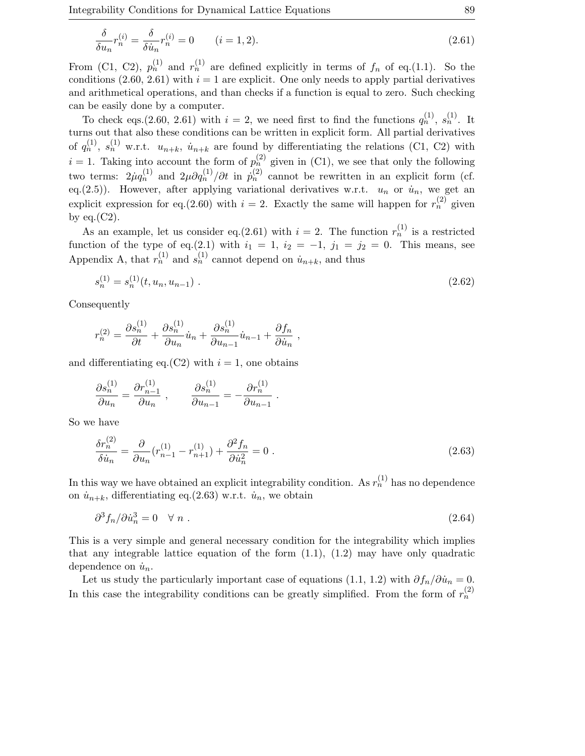Integrability Conditions for Dynamical Lattice Equations 89

$$
\frac{\delta}{\delta u_n} r_n^{(i)} = \frac{\delta}{\delta \dot{u}_n} r_n^{(i)} = 0 \qquad (i = 1, 2). \tag{2.61}
$$

From (C1, C2),  $p_n^{(1)}$  and  $r_n^{(1)}$  are defined explicitly in terms of  $f_n$  of eq.(1.1). So the conditions (2.60, 2.61) with  $i = 1$  are explicit. One only needs to apply partial derivatives and arithmetical operations, and than checks if a function is equal to zero. Such checking can be easily done by a computer.

To check eqs.(2.60, 2.61) with  $i = 2$ , we need first to find the functions  $q_n^{(1)}, s_n^{(1)}$ . It turns out that also these conditions can be written in explicit form. All partial derivatives of  $q_n^{(1)}, s_n^{(1)}$  w.r.t.  $u_{n+k}, u_{n+k}$  are found by differentiating the relations (C1, C2) with  $i = 1$ . Taking into account the form of  $p_n^{(2)}$  given in (C1), we see that only the following two terms:  $2\mu q_n^{(1)}$  and  $2\mu \partial q_n^{(1)}/\partial t$  in  $\dot{p}_n^{(2)}$  cannot be rewritten in an explicit form (cf. eq.(2.5)). However, after applying variational derivatives w.r.t.  $u_n$  or  $\dot{u}_n$ , we get an explicit expression for eq.(2.60) with  $i = 2$ . Exactly the same will happen for  $r_n^{(2)}$  given by eq. $(C2)$ .

As an example, let us consider eq.(2.61) with  $i = 2$ . The function  $r_n^{\mathfrak{u}}$  is a restricted function of the type of eq.(2.1) with  $i_1 = 1$ ,  $i_2 = -1$ ,  $j_1 = j_2 = 0$ . This means, see Appendix A, that  $r_n^{(1)}$  and  $s_n^{(1)}$  cannot depend on  $\dot{u}_{n+k}$ , and thus

$$
s_n^{(1)} = s_n^{(1)}(t, u_n, u_{n-1}) \tag{2.62}
$$

Consequently

$$
r_n^{(2)} = \frac{\partial s_n^{(1)}}{\partial t} + \frac{\partial s_n^{(1)}}{\partial u_n} \dot{u}_n + \frac{\partial s_n^{(1)}}{\partial u_{n-1}} \dot{u}_{n-1} + \frac{\partial f_n}{\partial \dot{u}_n} ,
$$

and differentiating eq.(C2) with  $i = 1$ , one obtains

$$
\frac{\partial s_n^{(1)}}{\partial u_n} = \frac{\partial r_{n-1}^{(1)}}{\partial u_n} , \qquad \frac{\partial s_n^{(1)}}{\partial u_{n-1}} = -\frac{\partial r_n^{(1)}}{\partial u_{n-1}} .
$$

So we have

$$
\frac{\delta r_n^{(2)}}{\delta \dot{u}_n} = \frac{\partial}{\partial u_n} (r_{n-1}^{(1)} - r_{n+1}^{(1)}) + \frac{\partial^2 f_n}{\partial \dot{u}_n^2} = 0 \tag{2.63}
$$

In this way we have obtained an explicit integrability condition. As  $r_n^{(1)}$  has no dependence on  $\dot{u}_{n+k}$ , differentiating eq.(2.63) w.r.t.  $\dot{u}_n$ , we obtain

$$
\partial^3 f_n / \partial \dot{u}_n^3 = 0 \quad \forall \ n \ . \tag{2.64}
$$

This is a very simple and general necessary condition for the integrability which implies that any integrable lattice equation of the form  $(1.1)$ ,  $(1.2)$  may have only quadratic dependence on  $\dot{u}_n$ .

Let us study the particularly important case of equations (1.1, 1.2) with  $\partial f_n/\partial \dot{u}_n = 0$ . In this case the integrability conditions can be greatly simplified. From the form of  $r_n^{(2)}$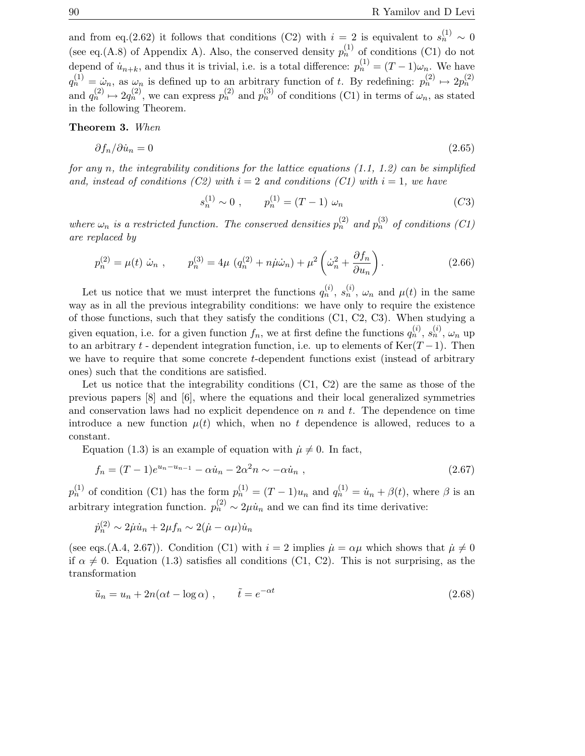and from eq.(2.62) it follows that conditions (C2) with  $i = 2$  is equivalent to  $s_n^{(1)} \sim 0$ (see eq.(A.8) of Appendix A). Also, the conserved density  $p_n^{(1)}$  of conditions (C1) do not depend of  $\dot{u}_{n+k}$ , and thus it is trivial, i.e. is a total difference:  $p_n^{(1)} = (T-1)\omega_n$ . We have  $q_n^{(1)} = \dot{\omega}_n$ , as  $\omega_n$  is defined up to an arbitrary function of t. By redefining:  $p_n^{(2)} \mapsto 2p_n^{(2)}$ and  $q_n^{(2)} \mapsto 2q_n^{(2)}$ , we can express  $p_n^{(2)}$  and  $p_n^{(3)}$  of conditions (C1) in terms of  $\omega_n$ , as stated in the following Theorem.

**Theorem 3.** When

$$
\partial f_n / \partial \dot{u}_n = 0 \tag{2.65}
$$

for any n, the integrability conditions for the lattice equations  $(1.1, 1.2)$  can be simplified and, instead of conditions (C2) with  $i = 2$  and conditions (C1) with  $i = 1$ , we have

$$
s_n^{(1)} \sim 0 , \qquad p_n^{(1)} = (T - 1) \omega_n \tag{C3}
$$

where  $\omega_n$  is a restricted function. The conserved densities  $p_n^{(2)}$  and  $p_n^{(3)}$  of conditions (C1) are replaced by

$$
p_n^{(2)} = \mu(t) \dot{\omega}_n , \qquad p_n^{(3)} = 4\mu (q_n^{(2)} + n\dot{\mu}\dot{\omega}_n) + \mu^2 \left(\dot{\omega}_n^2 + \frac{\partial f_n}{\partial u_n}\right).
$$
 (2.66)

Let us notice that we must interpret the functions  $q_n^{(i)}$ ,  $s_n^{(i)}$ ,  $\omega_n$  and  $\mu(t)$  in the same way as in all the previous integrability conditions: we have only to require the existence of those functions, such that they satisfy the conditions (C1, C2, C3). When studying a given equation, i.e. for a given function  $f_n$ , we at first define the functions  $q_n^{(i)}$ ,  $s_n^{(i)}$ ,  $\omega_n$  up to an arbitrary t - dependent integration function, i.e. up to elements of Ker( $T-1$ ). Then we have to require that some concrete t-dependent functions exist (instead of arbitrary ones) such that the conditions are satisfied.

Let us notice that the integrability conditions  $(C1, C2)$  are the same as those of the previous papers [8] and [6], where the equations and their local generalized symmetries and conservation laws had no explicit dependence on  $n$  and  $t$ . The dependence on time introduce a new function  $\mu(t)$  which, when no t dependence is allowed, reduces to a constant.

Equation (1.3) is an example of equation with  $\mu \neq 0$ . In fact,

$$
f_n = (T - 1)e^{u_n - u_{n-1}} - \alpha \dot{u}_n - 2\alpha^2 n \sim -\alpha \dot{u}_n ,
$$
\n(2.67)

 $p_n^{(1)}$  of condition (C1) has the form  $p_n^{(1)} = (T-1)u_n$  and  $q_n^{(1)} = \dot{u}_n + \beta(t)$ , where  $\beta$  is an arbitrary integration function.  $p_n^{(2)} \sim 2\mu \dot{u}_n$  and we can find its time derivative:

$$
\dot{p}_n^{(2)} \sim 2\dot{\mu}\dot{u}_n + 2\mu f_n \sim 2(\dot{\mu} - \alpha\mu)\dot{u}_n
$$

(see eqs.(A.4, 2.67)). Condition (C1) with  $i = 2$  implies  $\mu = \alpha \mu$  which shows that  $\mu \neq 0$ if  $\alpha \neq 0$ . Equation (1.3) satisfies all conditions (C1, C2). This is not surprising, as the transformation

$$
\tilde{u}_n = u_n + 2n(\alpha t - \log \alpha) , \qquad \tilde{t} = e^{-\alpha t}
$$
\n(2.68)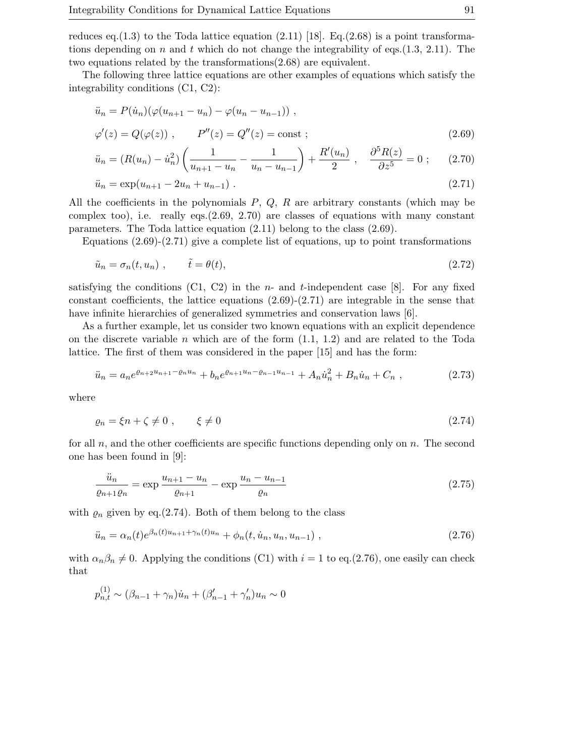reduces eq.(1.3) to the Toda lattice equation  $(2.11)$  [18]. Eq.(2.68) is a point transformations depending on n and t which do not change the integrability of eqs.  $(1.3, 2.11)$ . The two equations related by the transformations(2.68) are equivalent.

The following three lattice equations are other examples of equations which satisfy the integrability conditions (C1, C2):

$$
\ddot{u}_n = P(\dot{u}_n)(\varphi(u_{n+1} - u_n) - \varphi(u_n - u_{n-1})),
$$
  
\n
$$
\varphi'(z) = Q(\varphi(z)), \qquad P''(z) = Q''(z) = \text{const};
$$
\n(2.69)

$$
\ddot{u}_n = (R(u_n) - \dot{u}_n^2) \left( \frac{1}{u_{n+1} - u_n} - \frac{1}{u_n - u_{n-1}} \right) + \frac{R'(u_n)}{2} , \quad \frac{\partial^5 R(z)}{\partial z^5} = 0 ; \quad (2.70)
$$

$$
\ddot{u}_n = \exp(u_{n+1} - 2u_n + u_{n-1}). \tag{2.71}
$$

All the coefficients in the polynomials  $P$ ,  $Q$ ,  $R$  are arbitrary constants (which may be complex too), i.e. really eqs. $(2.69, 2.70)$  are classes of equations with many constant parameters. The Toda lattice equation (2.11) belong to the class (2.69).

Equations  $(2.69)-(2.71)$  give a complete list of equations, up to point transformations

$$
\tilde{u}_n = \sigma_n(t, u_n) \;, \qquad \tilde{t} = \theta(t), \tag{2.72}
$$

satisfying the conditions  $(C1, C2)$  in the *n*- and *t*-independent case [8]. For any fixed constant coefficients, the lattice equations  $(2.69)-(2.71)$  are integrable in the sense that have infinite hierarchies of generalized symmetries and conservation laws [6].

As a further example, let us consider two known equations with an explicit dependence on the discrete variable n which are of the form  $(1.1, 1.2)$  and are related to the Toda lattice. The first of them was considered in the paper [15] and has the form:

$$
\ddot{u}_n = a_n e^{\varrho_{n+2} u_{n+1} - \varrho_n u_n} + b_n e^{\varrho_{n+1} u_n - \varrho_{n-1} u_{n-1}} + A_n \dot{u}_n^2 + B_n \dot{u}_n + C_n ,
$$
\n(2.73)

where

$$
\varrho_n = \xi n + \zeta \neq 0 \tag{2.74}
$$

for all  $n$ , and the other coefficients are specific functions depending only on  $n$ . The second one has been found in [9]:

$$
\frac{\ddot{u}_n}{\varrho_{n+1}\varrho_n} = \exp\frac{u_{n+1} - u_n}{\varrho_{n+1}} - \exp\frac{u_n - u_{n-1}}{\varrho_n}
$$
\n(2.75)

with  $\varrho_n$  given by eq.(2.74). Both of them belong to the class

$$
\ddot{u}_n = \alpha_n(t) e^{\beta_n(t)u_{n+1} + \gamma_n(t)u_n} + \phi_n(t, \dot{u}_n, u_n, u_{n-1}), \qquad (2.76)
$$

with  $\alpha_n\beta_n \neq 0$ . Applying the conditions (C1) with  $i = 1$  to eq.(2.76), one easily can check that

$$
p_{n,t}^{(1)} \sim (\beta_{n-1} + \gamma_n) \dot{u}_n + (\beta'_{n-1} + \gamma'_n) u_n \sim 0
$$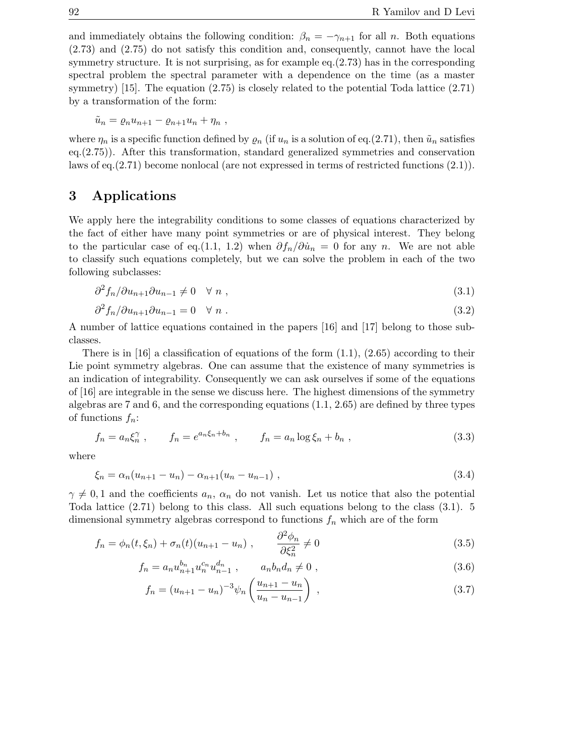and immediately obtains the following condition:  $\beta_n = -\gamma_{n+1}$  for all n. Both equations (2.73) and (2.75) do not satisfy this condition and, consequently, cannot have the local symmetry structure. It is not surprising, as for example eq.(2.73) has in the corresponding spectral problem the spectral parameter with a dependence on the time (as a master symmetry) [15]. The equation (2.75) is closely related to the potential Toda lattice (2.71) by a transformation of the form:

$$
\tilde{u}_n = \varrho_n u_{n+1} - \varrho_{n+1} u_n + \eta_n ,
$$

where  $\eta_n$  is a specific function defined by  $\varrho_n$  (if  $u_n$  is a solution of eq.(2.71), then  $\tilde{u}_n$  satisfies eq.(2.75)). After this transformation, standard generalized symmetries and conservation laws of eq.(2.71) become nonlocal (are not expressed in terms of restricted functions (2.1)).

## **3 Applications**

We apply here the integrability conditions to some classes of equations characterized by the fact of either have many point symmetries or are of physical interest. They belong to the particular case of eq.(1.1, 1.2) when  $\partial f_n/\partial \dot{u}_n = 0$  for any n. We are not able to classify such equations completely, but we can solve the problem in each of the two following subclasses:

$$
\frac{\partial^2 f_n}{\partial u_{n+1} \partial u_{n-1}} \neq 0 \quad \forall \ n \tag{3.1}
$$

$$
\partial^2 f_n / \partial u_{n+1} \partial u_{n-1} = 0 \quad \forall \ n \ . \tag{3.2}
$$

A number of lattice equations contained in the papers [16] and [17] belong to those subclasses.

There is in [16] a classification of equations of the form  $(1.1)$ ,  $(2.65)$  according to their Lie point symmetry algebras. One can assume that the existence of many symmetries is an indication of integrability. Consequently we can ask ourselves if some of the equations of [16] are integrable in the sense we discuss here. The highest dimensions of the symmetry algebras are 7 and 6, and the corresponding equations (1.1, 2.65) are defined by three types of functions  $f_n$ :

$$
f_n = a_n \xi_n^{\gamma} , \t f_n = e^{a_n \xi_n + b_n} , \t f_n = a_n \log \xi_n + b_n , \t (3.3)
$$

where

$$
\xi_n = \alpha_n (u_{n+1} - u_n) - \alpha_{n+1} (u_n - u_{n-1}), \qquad (3.4)
$$

 $\gamma \neq 0, 1$  and the coefficients  $a_n$ ,  $a_n$  do not vanish. Let us notice that also the potential Toda lattice (2.71) belong to this class. All such equations belong to the class (3.1). 5 dimensional symmetry algebras correspond to functions  $f_n$  which are of the form

$$
f_n = \phi_n(t, \xi_n) + \sigma_n(t)(u_{n+1} - u_n) , \qquad \frac{\partial^2 \phi_n}{\partial \xi_n^2} \neq 0
$$
 (3.5)

$$
f_n = a_n u_{n+1}^{b_n} u_n^{c_n} u_{n-1}^{d_n} , \qquad a_n b_n d_n \neq 0 , \qquad (3.6)
$$

$$
f_n = (u_{n+1} - u_n)^{-3} \psi_n \left( \frac{u_{n+1} - u_n}{u_n - u_{n-1}} \right) , \qquad (3.7)
$$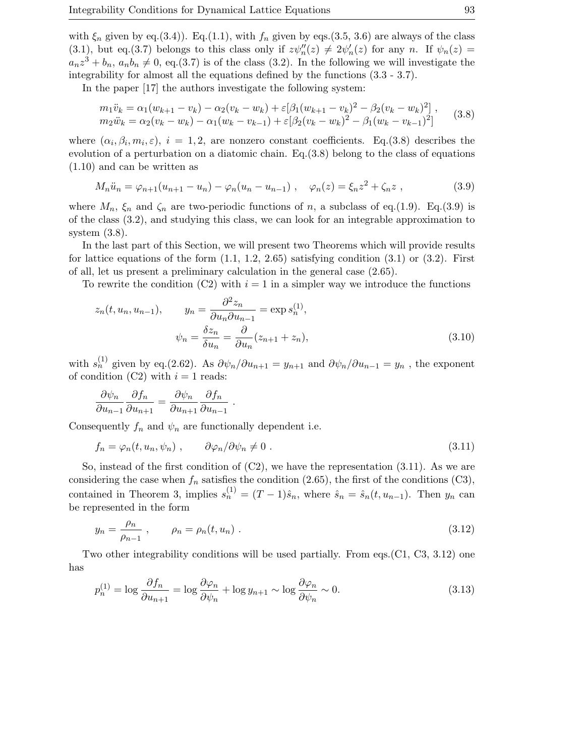with  $\xi_n$  given by eq.(3.4)). Eq.(1.1), with  $f_n$  given by eqs.(3.5, 3.6) are always of the class (3.1), but eq.(3.7) belongs to this class only if  $z\psi''_n(z) \neq 2\psi'_n(z)$  for any n. If  $\psi_n(z) =$  $a_nz^3 + b_n$ ,  $a_nb_n \neq 0$ , eq.(3.7) is of the class (3.2). In the following we will investigate the integrability for almost all the equations defined by the functions (3.3 - 3.7).

In the paper [17] the authors investigate the following system:

$$
m_1 \ddot{v}_k = \alpha_1 (w_{k+1} - v_k) - \alpha_2 (v_k - w_k) + \varepsilon [\beta_1 (w_{k+1} - v_k)^2 - \beta_2 (v_k - w_k)^2],
$$
  
\n
$$
m_2 \ddot{w}_k = \alpha_2 (v_k - w_k) - \alpha_1 (w_k - v_{k-1}) + \varepsilon [\beta_2 (v_k - w_k)^2 - \beta_1 (w_k - v_{k-1})^2]
$$
\n(3.8)

where  $(\alpha_i, \beta_i, m_i, \varepsilon)$ ,  $i = 1, 2$ , are nonzero constant coefficients. Eq.(3.8) describes the evolution of a perturbation on a diatomic chain. Eq.  $(3.8)$  belong to the class of equations (1.10) and can be written as

$$
M_n \ddot{u}_n = \varphi_{n+1}(u_{n+1} - u_n) - \varphi_n(u_n - u_{n-1}), \quad \varphi_n(z) = \xi_n z^2 + \zeta_n z \;, \tag{3.9}
$$

where  $M_n$ ,  $\xi_n$  and  $\zeta_n$  are two-periodic functions of n, a subclass of eq.(1.9). Eq.(3.9) is of the class (3.2), and studying this class, we can look for an integrable approximation to system  $(3.8)$ .

In the last part of this Section, we will present two Theorems which will provide results for lattice equations of the form  $(1.1, 1.2, 2.65)$  satisfying condition  $(3.1)$  or  $(3.2)$ . First of all, let us present a preliminary calculation in the general case (2.65).

To rewrite the condition (C2) with  $i = 1$  in a simpler way we introduce the functions

$$
z_n(t, u_n, u_{n-1}), \qquad y_n = \frac{\partial^2 z_n}{\partial u_n \partial u_{n-1}} = \exp s_n^{(1)},
$$

$$
\psi_n = \frac{\delta z_n}{\delta u_n} = \frac{\partial}{\partial u_n} (z_{n+1} + z_n),
$$
(3.10)

with  $s_n^{(1)}$  given by eq.(2.62). As  $\partial \psi_n / \partial u_{n+1} = y_{n+1}$  and  $\partial \psi_n / \partial u_{n-1} = y_n$ , the exponent of condition (C2) with  $i = 1$  reads:

$$
\frac{\partial \psi_n}{\partial u_{n-1}} \frac{\partial f_n}{\partial u_{n+1}} = \frac{\partial \psi_n}{\partial u_{n+1}} \frac{\partial f_n}{\partial u_{n-1}}
$$

Consequently  $f_n$  and  $\psi_n$  are functionally dependent i.e.

.

$$
f_n = \varphi_n(t, u_n, \psi_n) \;, \qquad \partial \varphi_n / \partial \psi_n \neq 0 \;.
$$
 (3.11)

So, instead of the first condition of  $(C2)$ , we have the representation  $(3.11)$ . As we are considering the case when  $f_n$  satisfies the condition (2.65), the first of the conditions (C3), contained in Theorem 3, implies  $s_n^{(1)} = (T-1)\hat{s}_n$ , where  $\hat{s}_n = \hat{s}_n(t, u_{n-1})$ . Then  $y_n$  can be represented in the form

$$
y_n = \frac{\rho_n}{\rho_{n-1}} \,, \qquad \rho_n = \rho_n(t, u_n) \,.
$$
 (3.12)

Two other integrability conditions will be used partially. From eqs.  $(C1, C3, 3.12)$  one has

$$
p_n^{(1)} = \log \frac{\partial f_n}{\partial u_{n+1}} = \log \frac{\partial \varphi_n}{\partial \psi_n} + \log y_{n+1} \sim \log \frac{\partial \varphi_n}{\partial \psi_n} \sim 0. \tag{3.13}
$$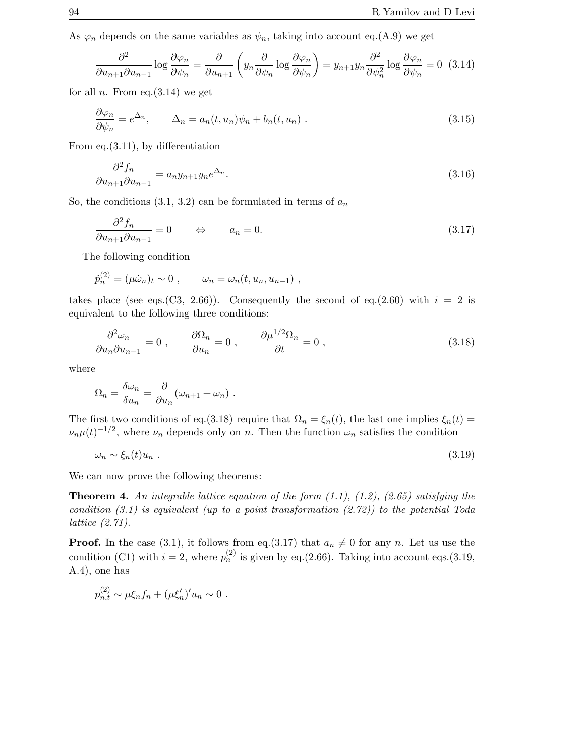As  $\varphi_n$  depends on the same variables as  $\psi_n$ , taking into account eq.(A.9) we get

$$
\frac{\partial^2}{\partial u_{n+1}\partial u_{n-1}}\log\frac{\partial\varphi_n}{\partial\psi_n} = \frac{\partial}{\partial u_{n+1}}\left(y_n\frac{\partial}{\partial\psi_n}\log\frac{\partial\varphi_n}{\partial\psi_n}\right) = y_{n+1}y_n\frac{\partial^2}{\partial\psi_n^2}\log\frac{\partial\varphi_n}{\partial\psi_n} = 0 \quad (3.14)
$$

for all *n*. From eq.  $(3.14)$  we get

$$
\frac{\partial \varphi_n}{\partial \psi_n} = e^{\Delta_n}, \qquad \Delta_n = a_n(t, u_n)\psi_n + b_n(t, u_n) \tag{3.15}
$$

From eq.(3.11), by differentiation

$$
\frac{\partial^2 f_n}{\partial u_{n+1} \partial u_{n-1}} = a_n y_{n+1} y_n e^{\Delta_n}.
$$
\n(3.16)

So, the conditions  $(3.1, 3.2)$  can be formulated in terms of  $a_n$ 

$$
\frac{\partial^2 f_n}{\partial u_{n+1} \partial u_{n-1}} = 0 \qquad \Leftrightarrow \qquad a_n = 0. \tag{3.17}
$$

The following condition

$$
\dot{p}_n^{(2)} = (\mu \dot{\omega}_n)_t \sim 0 , \qquad \omega_n = \omega_n(t, u_n, u_{n-1}),
$$

takes place (see eqs.(C3, 2.66)). Consequently the second of eq.(2.60) with  $i = 2$  is equivalent to the following three conditions:

$$
\frac{\partial^2 \omega_n}{\partial u_n \partial u_{n-1}} = 0 \;, \qquad \frac{\partial \Omega_n}{\partial u_n} = 0 \;, \qquad \frac{\partial \mu^{1/2} \Omega_n}{\partial t} = 0 \;, \tag{3.18}
$$

where

$$
\Omega_n = \frac{\delta \omega_n}{\delta u_n} = \frac{\partial}{\partial u_n} (\omega_{n+1} + \omega_n) .
$$

The first two conditions of eq.(3.18) require that  $\Omega_n = \xi_n(t)$ , the last one implies  $\xi_n(t)$  $\nu_n\mu(t)^{-1/2}$ , where  $\nu_n$  depends only on n. Then the function  $\omega_n$  satisfies the condition

$$
\omega_n \sim \xi_n(t) u_n \tag{3.19}
$$

We can now prove the following theorems:

**Theorem 4.** An integrable lattice equation of the form  $(1.1)$ ,  $(1.2)$ ,  $(2.65)$  satisfying the condition  $(3.1)$  is equivalent (up to a point transformation  $(2.72)$ ) to the potential Toda lattice (2.71).

**Proof.** In the case (3.1), it follows from eq.(3.17) that  $a_n \neq 0$  for any n. Let us use the condition (C1) with  $i = 2$ , where  $p_n^{(2)}$  is given by eq.(2.66). Taking into account eqs.(3.19, A.4), one has

$$
p_{n,t}^{(2)} \sim \mu \xi_n f_n + (\mu \xi_n')' u_n \sim 0.
$$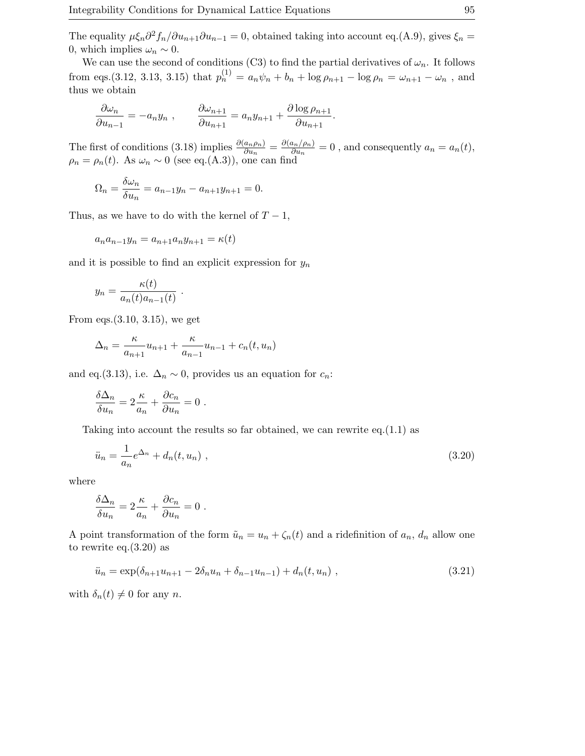The equality  $\mu \xi_n \partial^2 f_n / \partial u_{n+1} \partial u_{n-1} = 0$ , obtained taking into account eq.(A.9), gives  $\xi_n =$ 0, which implies  $\omega_n \sim 0$ .

We can use the second of conditions (C3) to find the partial derivatives of  $\omega_n$ . It follows from eqs.(3.12, 3.13, 3.15) that  $p_n^{(1)} = a_n \psi_n + b_n + \log \rho_{n+1} - \log \rho_n = \omega_{n+1} - \omega_n$ , and thus we obtain

$$
\frac{\partial \omega_n}{\partial u_{n-1}} = -a_n y_n , \qquad \frac{\partial \omega_{n+1}}{\partial u_{n+1}} = a_n y_{n+1} + \frac{\partial \log \rho_{n+1}}{\partial u_{n+1}}.
$$

The first of conditions (3.18) implies  $\frac{\partial (a_n \rho_n)}{\partial u_n} = \frac{\partial (a_n/\rho_n)}{\partial u_n} = 0$ , and consequently  $a_n = a_n(t)$ ,  $\rho_n = \rho_n(t)$ . As  $\omega_n \sim 0$  (see eq.(A.3)), one can find

$$
\Omega_n = \frac{\delta \omega_n}{\delta u_n} = a_{n-1}y_n - a_{n+1}y_{n+1} = 0.
$$

Thus, as we have to do with the kernel of  $T-1$ ,

$$
a_na_{n-1}y_n = a_{n+1}a_ny_{n+1} = \kappa(t)
$$

and it is possible to find an explicit expression for  $y_n$ 

$$
y_n = \frac{\kappa(t)}{a_n(t)a_{n-1}(t)}.
$$

From eqs.(3.10, 3.15), we get

$$
\Delta_n = \frac{\kappa}{a_{n+1}} u_{n+1} + \frac{\kappa}{a_{n-1}} u_{n-1} + c_n(t, u_n)
$$

and eq.(3.13), i.e.  $\Delta_n \sim 0$ , provides us an equation for  $c_n$ :

$$
\frac{\delta \Delta_n}{\delta u_n} = 2 \frac{\kappa}{a_n} + \frac{\partial c_n}{\partial u_n} = 0.
$$

Taking into account the results so far obtained, we can rewrite  $eq.(1.1)$  as

$$
\ddot{u}_n = \frac{1}{a_n} e^{\Delta_n} + d_n(t, u_n) \tag{3.20}
$$

where

$$
\frac{\delta \Delta_n}{\delta u_n} = 2 \frac{\kappa}{a_n} + \frac{\partial c_n}{\partial u_n} = 0.
$$

A point transformation of the form  $\tilde{u}_n = u_n + \zeta_n(t)$  and a ridefinition of  $a_n$ ,  $d_n$  allow one to rewrite eq. $(3.20)$  as

$$
\ddot{u}_n = \exp(\delta_{n+1}u_{n+1} - 2\delta_n u_n + \delta_{n-1}u_{n-1}) + d_n(t, u_n) \tag{3.21}
$$

with  $\delta_n(t) \neq 0$  for any *n*.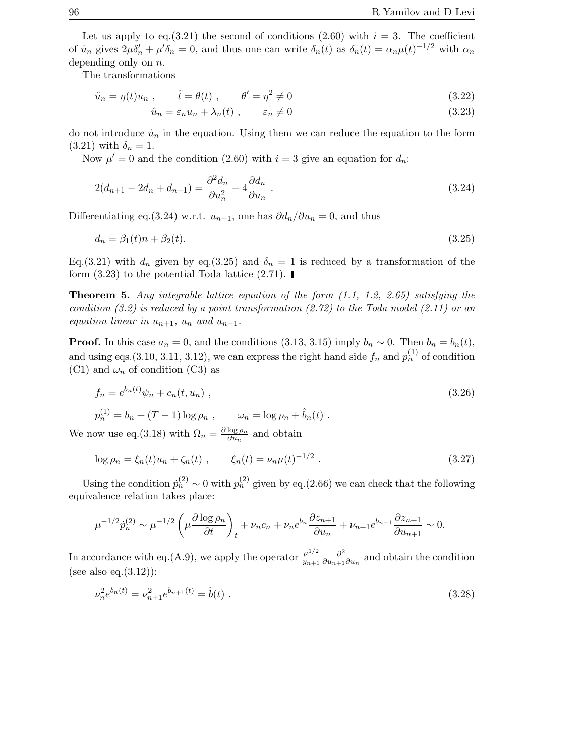Let us apply to eq.(3.21) the second of conditions (2.60) with  $i = 3$ . The coefficient of  $\dot{u}_n$  gives  $2\mu\delta'_n + \mu'\delta_n = 0$ , and thus one can write  $\delta_n(t)$  as  $\delta_n(t) = \alpha_n\mu(t)^{-1/2}$  with  $\alpha_n$ depending only on n.

The transformations

$$
\tilde{u}_n = \eta(t)u_n , \qquad \tilde{t} = \theta(t) , \qquad \theta' = \eta^2 \neq 0
$$
\n(3.22)

$$
\hat{u}_n = \varepsilon_n u_n + \lambda_n(t) , \qquad \varepsilon_n \neq 0 \tag{3.23}
$$

do not introduce  $\dot{u}_n$  in the equation. Using them we can reduce the equation to the form  $(3.21)$  with  $\delta_n = 1$ .

Now  $\mu' = 0$  and the condition (2.60) with  $i = 3$  give an equation for  $d_n$ .

$$
2(d_{n+1} - 2d_n + d_{n-1}) = \frac{\partial^2 d_n}{\partial u_n^2} + 4 \frac{\partial d_n}{\partial u_n} \,. \tag{3.24}
$$

Differentiating eq.(3.24) w.r.t.  $u_{n+1}$ , one has  $\partial d_n/\partial u_n = 0$ , and thus

$$
d_n = \beta_1(t)n + \beta_2(t). \tag{3.25}
$$

Eq.(3.21) with  $d_n$  given by eq.(3.25) and  $\delta_n = 1$  is reduced by a transformation of the form  $(3.23)$  to the potential Toda lattice  $(2.71)$ .

**Theorem 5.** Any integrable lattice equation of the form (1.1, 1.2, 2.65) satisfying the condition  $(3.2)$  is reduced by a point transformation  $(2.72)$  to the Toda model  $(2.11)$  or an equation linear in  $u_{n+1}$ ,  $u_n$  and  $u_{n-1}$ .

**Proof.** In this case  $a_n = 0$ , and the conditions (3.13, 3.15) imply  $b_n \sim 0$ . Then  $b_n = b_n(t)$ , and using eqs.(3.10, 3.11, 3.12), we can express the right hand side  $f_n$  and  $p_n^{(1)}$  of condition (C1) and  $\omega_n$  of condition (C3) as

$$
f_n = e^{b_n(t)} \psi_n + c_n(t, u_n) ,
$$
  
\n
$$
p_n^{(1)} = b_n + (T - 1) \log \rho_n , \qquad \omega_n = \log \rho_n + \hat{b}_n(t) .
$$
\n(3.26)

We now use eq.(3.18) with  $\Omega_n = \frac{\partial \log \rho_n}{\partial u_n}$  and obtain

$$
\log \rho_n = \xi_n(t)u_n + \zeta_n(t) , \qquad \xi_n(t) = \nu_n \mu(t)^{-1/2} . \qquad (3.27)
$$

Using the condition  $\dot{p}_n^{(2)} \sim 0$  with  $p_n^{(2)}$  given by eq.(2.66) we can check that the following equivalence relation takes place:

$$
\mu^{-1/2} \dot{p}_n^{(2)} \sim \mu^{-1/2} \left( \mu \frac{\partial \log \rho_n}{\partial t} \right)_t + \nu_n c_n + \nu_n e^{b_n} \frac{\partial z_{n+1}}{\partial u_n} + \nu_{n+1} e^{b_{n+1}} \frac{\partial z_{n+1}}{\partial u_{n+1}} \sim 0.
$$

In accordance with eq.(A.9), we apply the operator  $\frac{\mu^{1/2}}{y_{n+1}}$  $\frac{\partial^2}{\partial u_{n+1}\partial u_n}$  and obtain the condition (see also eq. $(3.12)$ ):

$$
\nu_n^2 e^{b_n(t)} = \nu_{n+1}^2 e^{b_{n+1}(t)} = \tilde{b}(t) \tag{3.28}
$$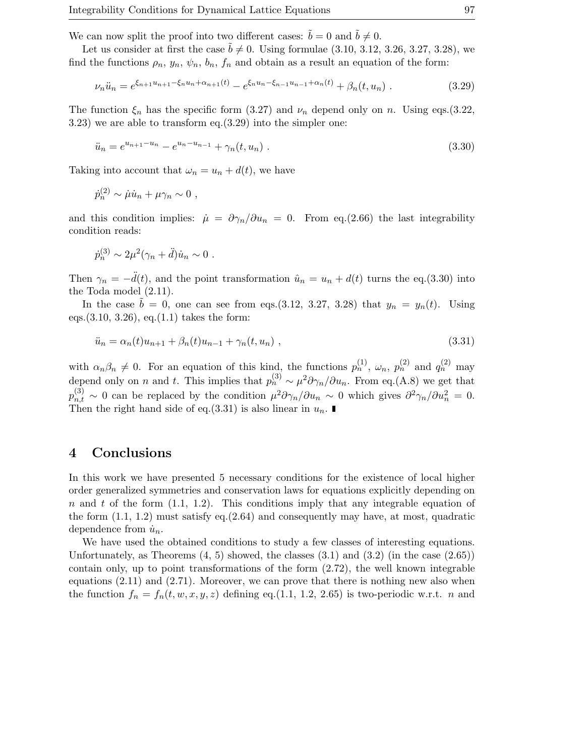We can now split the proof into two different cases:  $\dot{b} = 0$  and  $\dot{b} \neq 0$ .

Let us consider at first the case  $\tilde{b} \neq 0$ . Using formulae (3.10, 3.12, 3.26, 3.27, 3.28), we find the functions  $\rho_n$ ,  $y_n$ ,  $\psi_n$ ,  $b_n$ ,  $f_n$  and obtain as a result an equation of the form:

$$
\nu_n \ddot{u}_n = e^{\xi_{n+1} u_{n+1} - \xi_n u_n + \alpha_{n+1}(t)} - e^{\xi_n u_n - \xi_{n-1} u_{n-1} + \alpha_n(t)} + \beta_n(t, u_n) \tag{3.29}
$$

The function  $\xi_n$  has the specific form (3.27) and  $\nu_n$  depend only on n. Using eqs.(3.22, 3.23) we are able to transform eq.(3.29) into the simpler one:

$$
\ddot{u}_n = e^{u_{n+1} - u_n} - e^{u_n - u_{n-1}} + \gamma_n(t, u_n) \tag{3.30}
$$

Taking into account that  $\omega_n = u_n + d(t)$ , we have

$$
\dot{p}_n^{(2)} \sim \dot{\mu} \dot{u}_n + \mu \gamma_n \sim 0 ,
$$

and this condition implies:  $\dot{\mu} = \partial \gamma_n / \partial u_n = 0$ . From eq.(2.66) the last integrability condition reads:

$$
\dot{p}_n^{(3)} \sim 2\mu^2(\gamma_n + \ddot{d})\dot{u}_n \sim 0.
$$

Then  $\gamma_n = -\ddot{d}(t)$ , and the point transformation  $\hat{u}_n = u_n + d(t)$  turns the eq.(3.30) into the Toda model (2.11).

In the case  $\tilde{b} = 0$ , one can see from eqs.(3.12, 3.27, 3.28) that  $y_n = y_n(t)$ . Using eqs.  $(3.10, 3.26)$ , eq.  $(1.1)$  takes the form:

$$
\ddot{u}_n = \alpha_n(t)u_{n+1} + \beta_n(t)u_{n-1} + \gamma_n(t, u_n) , \qquad (3.31)
$$

with  $\alpha_n\beta_n \neq 0$ . For an equation of this kind, the functions  $p_n^{(1)}$ ,  $\omega_n$ ,  $p_n^{(2)}$  and  $q_n^{(2)}$  may depend only on *n* and *t*. This implies that  $p_n^{(3)} \sim \mu^2 \partial \gamma_n / \partial u_n$ . From eq.(A.8) we get that  $p_{n,t}^{(3)} \sim 0$  can be replaced by the condition  $\mu^2 \partial \gamma_n / \partial u_n \sim 0$  which gives  $\partial^2 \gamma_n / \partial u_n^2 = 0$ . Then the right hand side of eq.(3.31) is also linear in  $u_n$ .

## **4Conclusions**

In this work we have presented 5 necessary conditions for the existence of local higher order generalized symmetries and conservation laws for equations explicitly depending on  $n$  and  $t$  of the form  $(1.1, 1.2)$ . This conditions imply that any integrable equation of the form  $(1.1, 1.2)$  must satisfy eq. $(2.64)$  and consequently may have, at most, quadratic dependence from  $\dot{u}_n$ .

We have used the obtained conditions to study a few classes of interesting equations. Unfortunately, as Theorems  $(4, 5)$  showed, the classes  $(3.1)$  and  $(3.2)$  (in the case  $(2.65)$ ) contain only, up to point transformations of the form  $(2.72)$ , the well known integrable equations  $(2.11)$  and  $(2.71)$ . Moreover, we can prove that there is nothing new also when the function  $f_n = f_n(t, w, x, y, z)$  defining eq.(1.1, 1.2, 2.65) is two-periodic w.r.t. n and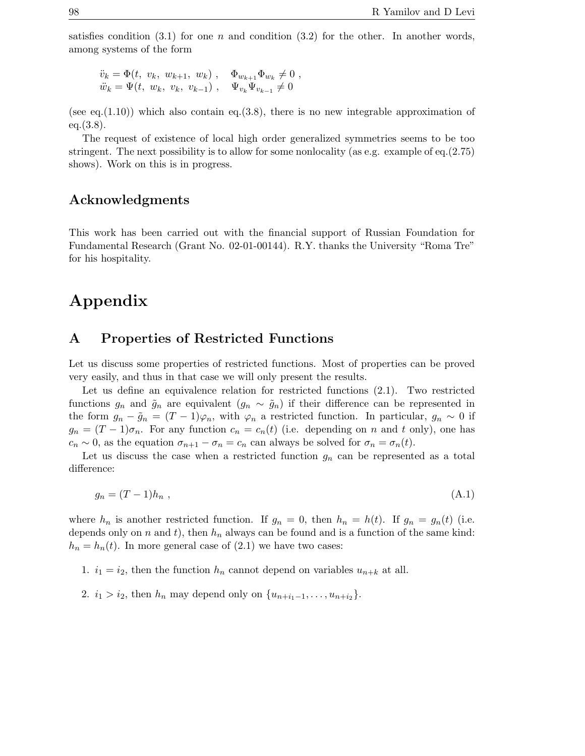satisfies condition  $(3.1)$  for one n and condition  $(3.2)$  for the other. In another words, among systems of the form

$$
\ddot{v}_k = \Phi(t, v_k, w_{k+1}, w_k), \quad \Phi_{w_{k+1}} \Phi_{w_k} \neq 0 ,\n\ddot{w}_k = \Psi(t, w_k, v_k, v_{k-1}), \quad \Psi_{v_k} \Psi_{v_{k-1}} \neq 0
$$

(see eq. $(1.10)$ ) which also contain eq. $(3.8)$ , there is no new integrable approximation of eq.(3.8).

The request of existence of local high order generalized symmetries seems to be too stringent. The next possibility is to allow for some nonlocality (as e.g. example of eq.(2.75) shows). Work on this is in progress.

## **Acknowledgments**

This work has been carried out with the financial support of Russian Foundation for Fundamental Research (Grant No. 02-01-00144). R.Y. thanks the University "Roma Tre" for his hospitality.

## **Appendix**

## **A Properties of Restricted Functions**

Let us discuss some properties of restricted functions. Most of properties can be proved very easily, and thus in that case we will only present the results.

Let us define an equivalence relation for restricted functions (2.1). Two restricted functions  $g_n$  and  $\tilde{g}_n$  are equivalent  $(g_n \sim \tilde{g}_n)$  if their difference can be represented in the form  $g_n - \tilde{g}_n = (T - 1)\varphi_n$ , with  $\varphi_n$  a restricted function. In particular,  $g_n \sim 0$  if  $g_n = (T-1)\sigma_n$ . For any function  $c_n = c_n(t)$  (i.e. depending on n and t only), one has  $c_n \sim 0$ , as the equation  $\sigma_{n+1} - \sigma_n = c_n$  can always be solved for  $\sigma_n = \sigma_n(t)$ .

Let us discuss the case when a restricted function  $g_n$  can be represented as a total difference:

$$
g_n = (T - 1)h_n \tag{A.1}
$$

where  $h_n$  is another restricted function. If  $g_n = 0$ , then  $h_n = h(t)$ . If  $g_n = g_n(t)$  (i.e. depends only on n and t), then  $h_n$  always can be found and is a function of the same kind:  $h_n = h_n(t)$ . In more general case of  $(2.1)$  we have two cases:

- 1.  $i_1 = i_2$ , then the function  $h_n$  cannot depend on variables  $u_{n+k}$  at all.
- 2.  $i_1 > i_2$ , then  $h_n$  may depend only on  $\{u_{n+i_1-1}, \ldots, u_{n+i_2}\}.$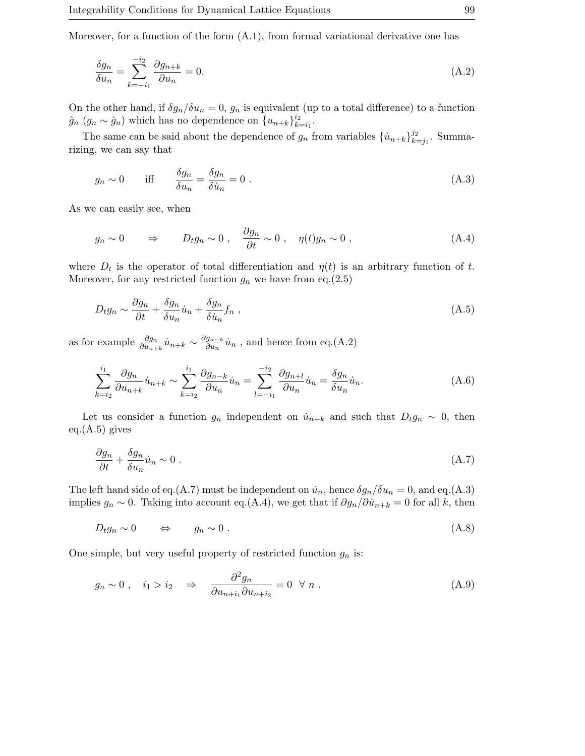Moreover, for a function of the form (A.1), from formal variational derivative one has

$$
\frac{\delta g_n}{\delta u_n} = \sum_{k=-i_1}^{-i_2} \frac{\partial g_{n+k}}{\partial u_n} = 0.
$$
\n(A.2)

On the other hand, if  $\delta g_n/\delta u_n = 0$ ,  $g_n$  is equivalent (up to a total difference) to a function  $\hat{g}_n$  ( $g_n \sim \hat{g}_n$ ) which has no dependence on  $\{u_{n+k}\}_{k=i_1}^{i_2}$ .

The same can be said about the dependence of  $g_n$  from variables  $\{\dot{u}_{n+k}\}_{k=j_1}^{j_2}$ . Summarizing, we can say that

$$
g_n \sim 0 \quad \text{iff} \quad \frac{\delta g_n}{\delta u_n} = \frac{\delta g_n}{\delta u_n} = 0 \tag{A.3}
$$

As we can easily see, when

$$
g_n \sim 0 \qquad \Rightarrow \qquad D_t g_n \sim 0 \; , \quad \frac{\partial g_n}{\partial t} \sim 0 \; , \quad \eta(t) g_n \sim 0 \; , \tag{A.4}
$$

where  $D_t$  is the operator of total differentiation and  $\eta(t)$  is an arbitrary function of t. Moreover, for any restricted function  $g_n$  we have from eq.(2.5)

$$
D_t g_n \sim \frac{\partial g_n}{\partial t} + \frac{\delta g_n}{\delta u_n} \dot{u}_n + \frac{\delta g_n}{\delta \dot{u}_n} f_n \tag{A.5}
$$

as for example  $\frac{\partial g_n}{\partial u_{n+k}} \dot{u}_{n+k} \sim \frac{\partial g_{n-k}}{\partial u_n} \dot{u}_n$ , and hence from eq.(A.2)

$$
\sum_{k=i_2}^{i_1} \frac{\partial g_n}{\partial u_{n+k}} \dot{u}_{n+k} \sim \sum_{k=i_2}^{i_1} \frac{\partial g_{n-k}}{\partial u_n} \dot{u}_n = \sum_{l=-i_1}^{-i_2} \frac{\partial g_{n+l}}{\partial u_n} \dot{u}_n = \frac{\delta g_n}{\delta u_n} \dot{u}_n.
$$
 (A.6)

Let us consider a function  $g_n$  independent on  $\dot{u}_{n+k}$  and such that  $D_t g_n \sim 0$ , then  $eq.(A.5)$  gives

$$
\frac{\partial g_n}{\partial t} + \frac{\delta g_n}{\delta u_n} \dot{u}_n \sim 0 \tag{A.7}
$$

The left hand side of eq.(A.7) must be independent on  $\dot{u}_n$ , hence  $\delta g_n/\delta u_n = 0$ , and eq.(A.3) implies  $g_n \sim 0$ . Taking into account eq.(A.4), we get that if  $\partial g_n / \partial \dot{u}_{n+k} = 0$  for all k, then

$$
D_t g_n \sim 0 \qquad \Leftrightarrow \qquad g_n \sim 0 \; . \tag{A.8}
$$

One simple, but very useful property of restricted function  $g_n$  is:

$$
g_n \sim 0 \; , \quad i_1 > i_2 \quad \Rightarrow \quad \frac{\partial^2 g_n}{\partial u_{n+i_1} \partial u_{n+i_2}} = 0 \; \forall \; n \; . \tag{A.9}
$$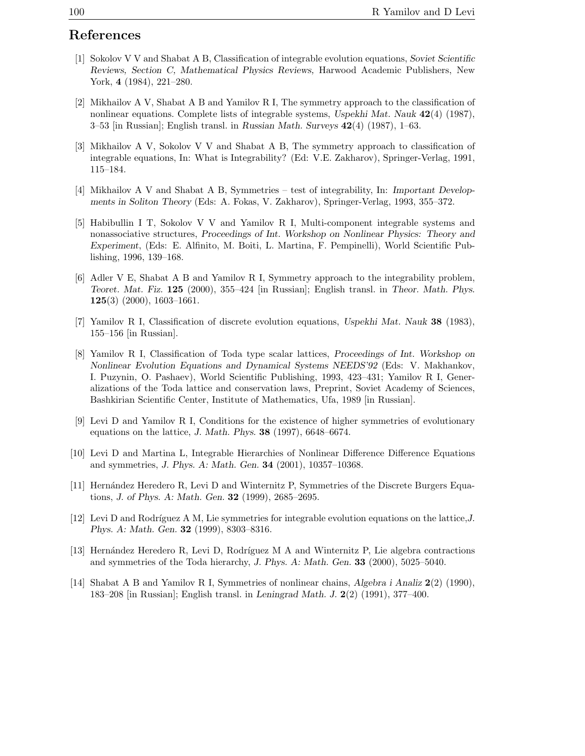## **References**

- [1] Sokolov V V and Shabat A B, Classification of integrable evolution equations, *Soviet Scientific Reviews, Section C, Mathematical Physics Reviews,* Harwood Academic Publishers, New York, **4** (1984), 221–280.
- [2] Mikhailov A V, Shabat A B and Yamilov R I, The symmetry approach to the classification of nonlinear equations. Complete lists of integrable systems, *Uspekhi Mat. Nauk* **42**(4) (1987), 3–53 [in Russian]; English transl. in *Russian Math. Surveys* **42**(4) (1987), 1–63.
- [3] Mikhailov A V, Sokolov V V and Shabat A B, The symmetry approach to classification of integrable equations, In: What is Integrability? (Ed: V.E. Zakharov), Springer-Verlag, 1991, 115–184.
- [4] Mikhailov A V and Shabat A B, Symmetries test of integrability, In: *Important Developments in Soliton Theory* (Eds: A. Fokas, V. Zakharov), Springer-Verlag, 1993, 355–372.
- [5] Habibullin I T, Sokolov V V and Yamilov R I, Multi-component integrable systems and nonassociative structures, *Proceedings of Int. Workshop on Nonlinear Physics: Theory and Experiment*, (Eds: E. Alfinito, M. Boiti, L. Martina, F. Pempinelli), World Scientific Publishing, 1996, 139–168.
- [6] Adler V E, Shabat A B and Yamilov R I, Symmetry approach to the integrability problem, *Teoret. Mat. Fiz.* **125** (2000), 355–424 [in Russian]; English transl. in *Theor. Math. Phys.* **125**(3) (2000), 1603–1661.
- [7] Yamilov R I, Classification of discrete evolution equations, *Uspekhi Mat. Nauk* **38** (1983), 155–156 [in Russian].
- [8] Yamilov R I, Classification of Toda type scalar lattices, *Proceedings of Int. Workshop on Nonlinear Evolution Equations and Dynamical Systems NEEDS'92* (Eds: V. Makhankov, I. Puzynin, O. Pashaev), World Scientific Publishing, 1993, 423–431; Yamilov R I, Generalizations of the Toda lattice and conservation laws, Preprint, Soviet Academy of Sciences, Bashkirian Scientific Center, Institute of Mathematics, Ufa, 1989 [in Russian].
- [9] Levi D and Yamilov R I, Conditions for the existence of higher symmetries of evolutionary equations on the lattice, *J. Math. Phys.* **38** (1997), 6648–6674.
- [10] Levi D and Martina L, Integrable Hierarchies of Nonlinear Difference Difference Equations and symmetries, *J. Phys. A: Math. Gen.* **34** (2001), 10357–10368.
- [11] Hern´andez Heredero R, Levi D and Winternitz P, Symmetries of the Discrete Burgers Equations, *J. of Phys. A: Math. Gen.* **32** (1999), 2685–2695.
- [12] Levi D and Rodríguez A M, Lie symmetries for integrable evolution equations on the lattice, *J*. *Phys. A: Math. Gen.* **32** (1999), 8303–8316.
- [13] Hernández Heredero R, Levi D, Rodríguez M A and Winternitz P, Lie algebra contractions and symmetries of the Toda hierarchy, *J. Phys. A: Math. Gen.* **33** (2000), 5025–5040.
- [14] Shabat A B and Yamilov R I, Symmetries of nonlinear chains, *Algebra i Analiz* **2**(2) (1990), 183–208 [in Russian]; English transl. in *Leningrad Math. J.* **2**(2) (1991), 377–400.